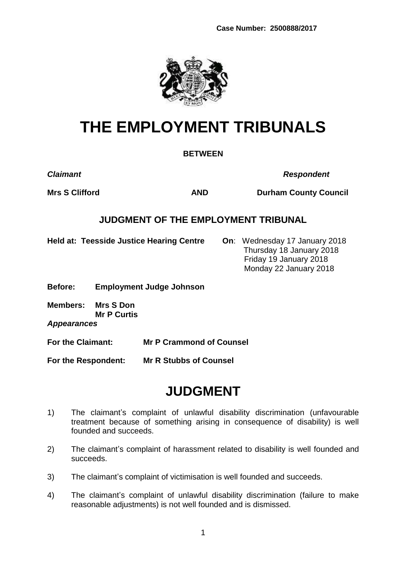**Case Number: 2500888/2017**



# **THE EMPLOYMENT TRIBUNALS**

#### **BETWEEN**

*Claimant Respondent*

**Mrs S Clifford <b>AND Durham County Council** 

## **JUDGMENT OF THE EMPLOYMENT TRIBUNAL**

**Held at: Teesside Justice Hearing Centre On**: Wednesday 17 January 2018

 Thursday 18 January 2018 Friday 19 January 2018 Monday 22 January 2018

**Before: Employment Judge Johnson**

**Members: Mrs S Don Mr P Curtis**

*Appearances*

**For the Claimant: Mr P Crammond of Counsel**

**For the Respondent: Mr R Stubbs of Counsel**

## **JUDGMENT**

- 1) The claimant's complaint of unlawful disability discrimination (unfavourable treatment because of something arising in consequence of disability) is well founded and succeeds.
- 2) The claimant's complaint of harassment related to disability is well founded and succeeds.
- 3) The claimant's complaint of victimisation is well founded and succeeds.
- 4) The claimant's complaint of unlawful disability discrimination (failure to make reasonable adjustments) is not well founded and is dismissed.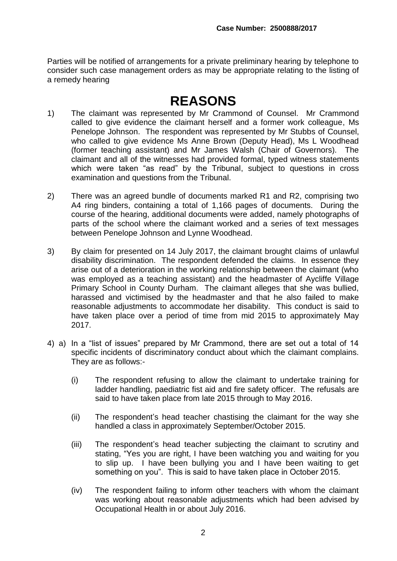Parties will be notified of arrangements for a private preliminary hearing by telephone to consider such case management orders as may be appropriate relating to the listing of a remedy hearing

## **REASONS**

- 1) The claimant was represented by Mr Crammond of Counsel. Mr Crammond called to give evidence the claimant herself and a former work colleague, Ms Penelope Johnson. The respondent was represented by Mr Stubbs of Counsel, who called to give evidence Ms Anne Brown (Deputy Head), Ms L Woodhead (former teaching assistant) and Mr James Walsh (Chair of Governors). The claimant and all of the witnesses had provided formal, typed witness statements which were taken "as read" by the Tribunal, subject to questions in cross examination and questions from the Tribunal.
- 2) There was an agreed bundle of documents marked R1 and R2, comprising two A4 ring binders, containing a total of 1,166 pages of documents. During the course of the hearing, additional documents were added, namely photographs of parts of the school where the claimant worked and a series of text messages between Penelope Johnson and Lynne Woodhead.
- 3) By claim for presented on 14 July 2017, the claimant brought claims of unlawful disability discrimination. The respondent defended the claims. In essence they arise out of a deterioration in the working relationship between the claimant (who was employed as a teaching assistant) and the headmaster of Aycliffe Village Primary School in County Durham. The claimant alleges that she was bullied, harassed and victimised by the headmaster and that he also failed to make reasonable adjustments to accommodate her disability. This conduct is said to have taken place over a period of time from mid 2015 to approximately May 2017.
- 4) a) In a "list of issues" prepared by Mr Crammond, there are set out a total of 14 specific incidents of discriminatory conduct about which the claimant complains. They are as follows:-
	- (i) The respondent refusing to allow the claimant to undertake training for ladder handling, paediatric fist aid and fire safety officer. The refusals are said to have taken place from late 2015 through to May 2016.
	- (ii) The respondent's head teacher chastising the claimant for the way she handled a class in approximately September/October 2015.
	- (iii) The respondent's head teacher subjecting the claimant to scrutiny and stating, "Yes you are right, I have been watching you and waiting for you to slip up. I have been bullying you and I have been waiting to get something on you". This is said to have taken place in October 2015.
	- (iv) The respondent failing to inform other teachers with whom the claimant was working about reasonable adjustments which had been advised by Occupational Health in or about July 2016.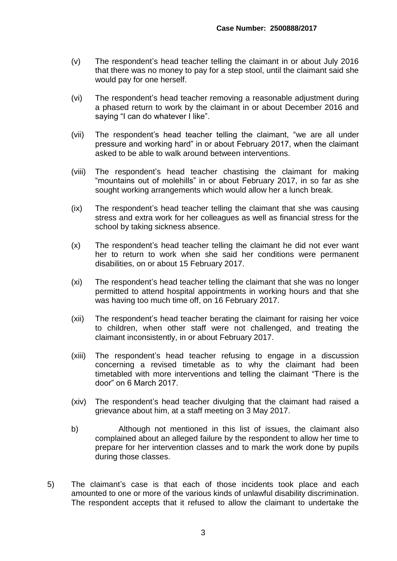- (v) The respondent's head teacher telling the claimant in or about July 2016 that there was no money to pay for a step stool, until the claimant said she would pay for one herself.
- (vi) The respondent's head teacher removing a reasonable adjustment during a phased return to work by the claimant in or about December 2016 and saying "I can do whatever I like".
- (vii) The respondent's head teacher telling the claimant, "we are all under pressure and working hard" in or about February 2017, when the claimant asked to be able to walk around between interventions.
- (viii) The respondent's head teacher chastising the claimant for making "mountains out of molehills" in or about February 2017, in so far as she sought working arrangements which would allow her a lunch break.
- (ix) The respondent's head teacher telling the claimant that she was causing stress and extra work for her colleagues as well as financial stress for the school by taking sickness absence.
- (x) The respondent's head teacher telling the claimant he did not ever want her to return to work when she said her conditions were permanent disabilities, on or about 15 February 2017.
- (xi) The respondent's head teacher telling the claimant that she was no longer permitted to attend hospital appointments in working hours and that she was having too much time off, on 16 February 2017.
- (xii) The respondent's head teacher berating the claimant for raising her voice to children, when other staff were not challenged, and treating the claimant inconsistently, in or about February 2017.
- (xiii) The respondent's head teacher refusing to engage in a discussion concerning a revised timetable as to why the claimant had been timetabled with more interventions and telling the claimant "There is the door" on 6 March 2017.
- (xiv) The respondent's head teacher divulging that the claimant had raised a grievance about him, at a staff meeting on 3 May 2017.
- b) Although not mentioned in this list of issues, the claimant also complained about an alleged failure by the respondent to allow her time to prepare for her intervention classes and to mark the work done by pupils during those classes.
- 5) The claimant's case is that each of those incidents took place and each amounted to one or more of the various kinds of unlawful disability discrimination. The respondent accepts that it refused to allow the claimant to undertake the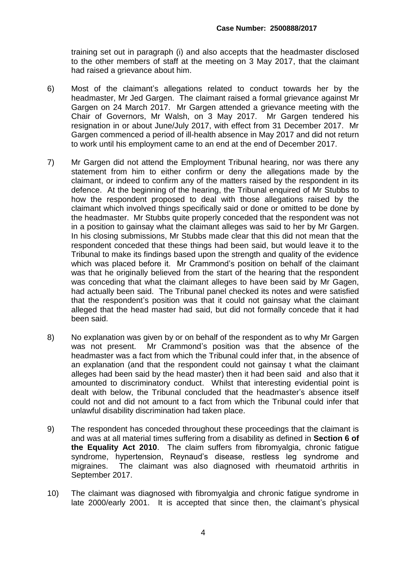training set out in paragraph (i) and also accepts that the headmaster disclosed to the other members of staff at the meeting on 3 May 2017, that the claimant had raised a grievance about him.

- 6) Most of the claimant's allegations related to conduct towards her by the headmaster, Mr Jed Gargen. The claimant raised a formal grievance against Mr Gargen on 24 March 2017. Mr Gargen attended a grievance meeting with the Chair of Governors, Mr Walsh, on 3 May 2017. Mr Gargen tendered his resignation in or about June/July 2017, with effect from 31 December 2017. Mr Gargen commenced a period of ill-health absence in May 2017 and did not return to work until his employment came to an end at the end of December 2017.
- 7) Mr Gargen did not attend the Employment Tribunal hearing, nor was there any statement from him to either confirm or deny the allegations made by the claimant, or indeed to confirm any of the matters raised by the respondent in its defence. At the beginning of the hearing, the Tribunal enquired of Mr Stubbs to how the respondent proposed to deal with those allegations raised by the claimant which involved things specifically said or done or omitted to be done by the headmaster. Mr Stubbs quite properly conceded that the respondent was not in a position to gainsay what the claimant alleges was said to her by Mr Gargen. In his closing submissions, Mr Stubbs made clear that this did not mean that the respondent conceded that these things had been said, but would leave it to the Tribunal to make its findings based upon the strength and quality of the evidence which was placed before it. Mr Crammond's position on behalf of the claimant was that he originally believed from the start of the hearing that the respondent was conceding that what the claimant alleges to have been said by Mr Gagen, had actually been said. The Tribunal panel checked its notes and were satisfied that the respondent's position was that it could not gainsay what the claimant alleged that the head master had said, but did not formally concede that it had been said.
- 8) No explanation was given by or on behalf of the respondent as to why Mr Gargen was not present. Mr Crammond's position was that the absence of the headmaster was a fact from which the Tribunal could infer that, in the absence of an explanation (and that the respondent could not gainsay t what the claimant alleges had been said by the head master) then it had been said and also that it amounted to discriminatory conduct. Whilst that interesting evidential point is dealt with below, the Tribunal concluded that the headmaster's absence itself could not and did not amount to a fact from which the Tribunal could infer that unlawful disability discrimination had taken place.
- 9) The respondent has conceded throughout these proceedings that the claimant is and was at all material times suffering from a disability as defined in **Section 6 of the Equality Act 2010**. The claim suffers from fibromyalgia, chronic fatigue syndrome, hypertension, Reynaud's disease, restless leg syndrome and migraines. The claimant was also diagnosed with rheumatoid arthritis in September 2017.
- 10) The claimant was diagnosed with fibromyalgia and chronic fatigue syndrome in late 2000/early 2001. It is accepted that since then, the claimant's physical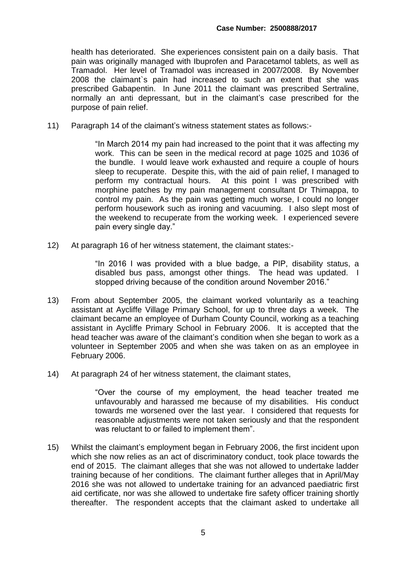health has deteriorated. She experiences consistent pain on a daily basis. That pain was originally managed with Ibuprofen and Paracetamol tablets, as well as Tramadol. Her level of Tramadol was increased in 2007/2008. By November 2008 the claimant`s pain had increased to such an extent that she was prescribed Gabapentin. In June 2011 the claimant was prescribed Sertraline, normally an anti depressant, but in the claimant's case prescribed for the purpose of pain relief.

11) Paragraph 14 of the claimant's witness statement states as follows:-

"In March 2014 my pain had increased to the point that it was affecting my work. This can be seen in the medical record at page 1025 and 1036 of the bundle. I would leave work exhausted and require a couple of hours sleep to recuperate. Despite this, with the aid of pain relief, I managed to perform my contractual hours. At this point I was prescribed with morphine patches by my pain management consultant Dr Thimappa, to control my pain. As the pain was getting much worse, I could no longer perform housework such as ironing and vacuuming. I also slept most of the weekend to recuperate from the working week. I experienced severe pain every single day."

12) At paragraph 16 of her witness statement, the claimant states:-

"In 2016 I was provided with a blue badge, a PIP, disability status, a disabled bus pass, amongst other things. The head was updated. I stopped driving because of the condition around November 2016."

- 13) From about September 2005, the claimant worked voluntarily as a teaching assistant at Aycliffe Village Primary School, for up to three days a week. The claimant became an employee of Durham County Council, working as a teaching assistant in Aycliffe Primary School in February 2006. It is accepted that the head teacher was aware of the claimant's condition when she began to work as a volunteer in September 2005 and when she was taken on as an employee in February 2006.
- 14) At paragraph 24 of her witness statement, the claimant states,

"Over the course of my employment, the head teacher treated me unfavourably and harassed me because of my disabilities. His conduct towards me worsened over the last year. I considered that requests for reasonable adjustments were not taken seriously and that the respondent was reluctant to or failed to implement them".

15) Whilst the claimant's employment began in February 2006, the first incident upon which she now relies as an act of discriminatory conduct, took place towards the end of 2015. The claimant alleges that she was not allowed to undertake ladder training because of her conditions. The claimant further alleges that in April/May 2016 she was not allowed to undertake training for an advanced paediatric first aid certificate, nor was she allowed to undertake fire safety officer training shortly thereafter. The respondent accepts that the claimant asked to undertake all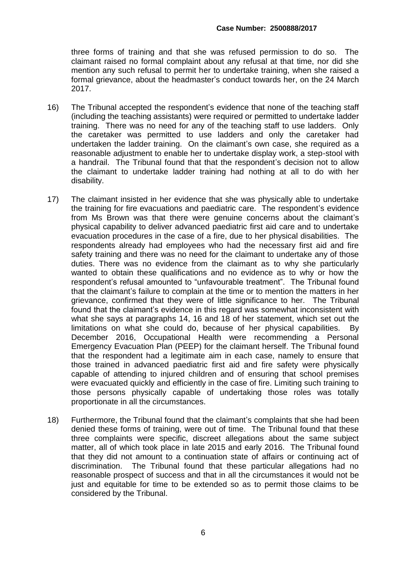three forms of training and that she was refused permission to do so. The claimant raised no formal complaint about any refusal at that time, nor did she mention any such refusal to permit her to undertake training, when she raised a formal grievance, about the headmaster's conduct towards her, on the 24 March 2017.

- 16) The Tribunal accepted the respondent's evidence that none of the teaching staff (including the teaching assistants) were required or permitted to undertake ladder training. There was no need for any of the teaching staff to use ladders. Only the caretaker was permitted to use ladders and only the caretaker had undertaken the ladder training. On the claimant's own case, she required as a reasonable adjustment to enable her to undertake display work, a step-stool with a handrail. The Tribunal found that that the respondent's decision not to allow the claimant to undertake ladder training had nothing at all to do with her disability.
- 17) The claimant insisted in her evidence that she was physically able to undertake the training for fire evacuations and paediatric care. The respondent's evidence from Ms Brown was that there were genuine concerns about the claimant's physical capability to deliver advanced paediatric first aid care and to undertake evacuation procedures in the case of a fire, due to her physical disabilities. The respondents already had employees who had the necessary first aid and fire safety training and there was no need for the claimant to undertake any of those duties. There was no evidence from the claimant as to why she particularly wanted to obtain these qualifications and no evidence as to why or how the respondent's refusal amounted to "unfavourable treatment". The Tribunal found that the claimant's failure to complain at the time or to mention the matters in her grievance, confirmed that they were of little significance to her. The Tribunal found that the claimant's evidence in this regard was somewhat inconsistent with what she says at paragraphs 14, 16 and 18 of her statement, which set out the limitations on what she could do, because of her physical capabilities. By December 2016, Occupational Health were recommending a Personal Emergency Evacuation Plan (PEEP) for the claimant herself. The Tribunal found that the respondent had a legitimate aim in each case, namely to ensure that those trained in advanced paediatric first aid and fire safety were physically capable of attending to injured children and of ensuring that school premises were evacuated quickly and efficiently in the case of fire. Limiting such training to those persons physically capable of undertaking those roles was totally proportionate in all the circumstances.
- 18) Furthermore, the Tribunal found that the claimant's complaints that she had been denied these forms of training, were out of time. The Tribunal found that these three complaints were specific, discreet allegations about the same subject matter, all of which took place in late 2015 and early 2016. The Tribunal found that they did not amount to a continuation state of affairs or continuing act of discrimination. The Tribunal found that these particular allegations had no reasonable prospect of success and that in all the circumstances it would not be just and equitable for time to be extended so as to permit those claims to be considered by the Tribunal.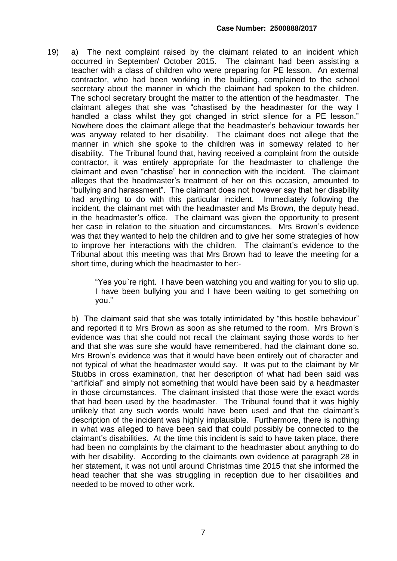19) a) The next complaint raised by the claimant related to an incident which occurred in September/ October 2015. The claimant had been assisting a teacher with a class of children who were preparing for PE lesson. An external contractor, who had been working in the building, complained to the school secretary about the manner in which the claimant had spoken to the children. The school secretary brought the matter to the attention of the headmaster. The claimant alleges that she was "chastised by the headmaster for the way I handled a class whilst they got changed in strict silence for a PE lesson." Nowhere does the claimant allege that the headmaster's behaviour towards her was anyway related to her disability. The claimant does not allege that the manner in which she spoke to the children was in someway related to her disability. The Tribunal found that, having received a complaint from the outside contractor, it was entirely appropriate for the headmaster to challenge the claimant and even "chastise" her in connection with the incident. The claimant alleges that the headmaster's treatment of her on this occasion, amounted to "bullying and harassment". The claimant does not however say that her disability had anything to do with this particular incident. Immediately following the incident, the claimant met with the headmaster and Ms Brown, the deputy head, in the headmaster's office. The claimant was given the opportunity to present her case in relation to the situation and circumstances. Mrs Brown's evidence was that they wanted to help the children and to give her some strategies of how to improve her interactions with the children. The claimant's evidence to the Tribunal about this meeting was that Mrs Brown had to leave the meeting for a short time, during which the headmaster to her:-

> "Yes you`re right. I have been watching you and waiting for you to slip up. I have been bullying you and I have been waiting to get something on you."

b) The claimant said that she was totally intimidated by "this hostile behaviour" and reported it to Mrs Brown as soon as she returned to the room. Mrs Brown's evidence was that she could not recall the claimant saying those words to her and that she was sure she would have remembered, had the claimant done so. Mrs Brown's evidence was that it would have been entirely out of character and not typical of what the headmaster would say. It was put to the claimant by Mr Stubbs in cross examination, that her description of what had been said was "artificial" and simply not something that would have been said by a headmaster in those circumstances. The claimant insisted that those were the exact words that had been used by the headmaster. The Tribunal found that it was highly unlikely that any such words would have been used and that the claimant's description of the incident was highly implausible. Furthermore, there is nothing in what was alleged to have been said that could possibly be connected to the claimant's disabilities. At the time this incident is said to have taken place, there had been no complaints by the claimant to the headmaster about anything to do with her disability. According to the claimants own evidence at paragraph 28 in her statement, it was not until around Christmas time 2015 that she informed the head teacher that she was struggling in reception due to her disabilities and needed to be moved to other work.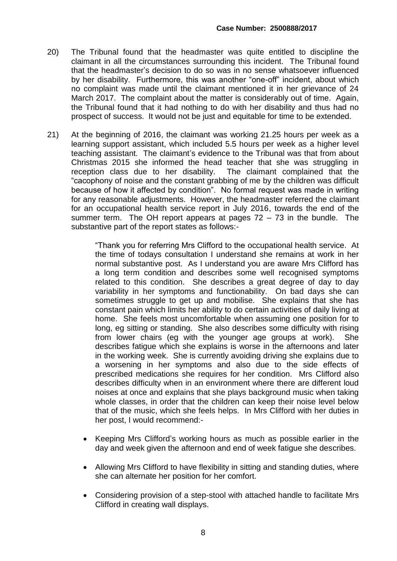- 20) The Tribunal found that the headmaster was quite entitled to discipline the claimant in all the circumstances surrounding this incident. The Tribunal found that the headmaster's decision to do so was in no sense whatsoever influenced by her disability. Furthermore, this was another "one-off" incident, about which no complaint was made until the claimant mentioned it in her grievance of 24 March 2017. The complaint about the matter is considerably out of time. Again, the Tribunal found that it had nothing to do with her disability and thus had no prospect of success. It would not be just and equitable for time to be extended.
- 21) At the beginning of 2016, the claimant was working 21.25 hours per week as a learning support assistant, which included 5.5 hours per week as a higher level teaching assistant. The claimant's evidence to the Tribunal was that from about Christmas 2015 she informed the head teacher that she was struggling in reception class due to her disability. The claimant complained that the "cacophony of noise and the constant grabbing of me by the children was difficult because of how it affected by condition". No formal request was made in writing for any reasonable adjustments. However, the headmaster referred the claimant for an occupational health service report in July 2016, towards the end of the summer term. The OH report appears at pages  $72 - 73$  in the bundle. The substantive part of the report states as follows:-

"Thank you for referring Mrs Clifford to the occupational health service. At the time of todays consultation I understand she remains at work in her normal substantive post. As I understand you are aware Mrs Clifford has a long term condition and describes some well recognised symptoms related to this condition. She describes a great degree of day to day variability in her symptoms and functionability. On bad days she can sometimes struggle to get up and mobilise. She explains that she has constant pain which limits her ability to do certain activities of daily living at home. She feels most uncomfortable when assuming one position for to long, eg sitting or standing. She also describes some difficulty with rising from lower chairs (eg with the younger age groups at work). She describes fatigue which she explains is worse in the afternoons and later in the working week. She is currently avoiding driving she explains due to a worsening in her symptoms and also due to the side effects of prescribed medications she requires for her condition. Mrs Clifford also describes difficulty when in an environment where there are different loud noises at once and explains that she plays background music when taking whole classes, in order that the children can keep their noise level below that of the music, which she feels helps. In Mrs Clifford with her duties in her post, I would recommend:-

- Keeping Mrs Clifford's working hours as much as possible earlier in the day and week given the afternoon and end of week fatigue she describes.
- Allowing Mrs Clifford to have flexibility in sitting and standing duties, where she can alternate her position for her comfort.
- Considering provision of a step-stool with attached handle to facilitate Mrs Clifford in creating wall displays.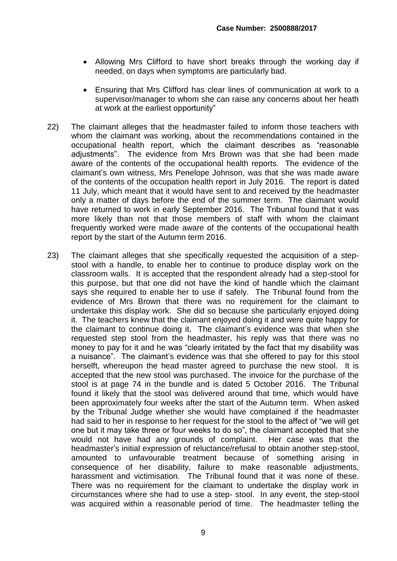- Allowing Mrs Clifford to have short breaks through the working day if needed, on days when symptoms are particularly bad.
- Ensuring that Mrs Clifford has clear lines of communication at work to a supervisor/manager to whom she can raise any concerns about her heath at work at the earliest opportunity"
- 22) The claimant alleges that the headmaster failed to inform those teachers with whom the claimant was working, about the recommendations contained in the occupational health report, which the claimant describes as "reasonable adjustments". The evidence from Mrs Brown was that she had been made aware of the contents of the occupational health reports. The evidence of the claimant's own witness, Mrs Penelope Johnson, was that she was made aware of the contents of the occupation health report in July 2016. The report is dated 11 July, which meant that it would have sent to and received by the headmaster only a matter of days before the end of the summer term. The claimant would have returned to work in early September 2016. The Tribunal found that it was more likely than not that those members of staff with whom the claimant frequently worked were made aware of the contents of the occupational health report by the start of the Autumn term 2016.
- 23) The claimant alleges that she specifically requested the acquisition of a stepstool with a handle, to enable her to continue to produce display work on the classroom walls. It is accepted that the respondent already had a step-stool for this purpose, but that one did not have the kind of handle which the claimant says she required to enable her to use if safely. The Tribunal found from the evidence of Mrs Brown that there was no requirement for the claimant to undertake this display work. She did so because she particularly enjoyed doing it. The teachers knew that the claimant enjoyed doing it and were quite happy for the claimant to continue doing it. The claimant's evidence was that when she requested step stool from the headmaster, his reply was that there was no money to pay for it and he was "clearly irritated by the fact that my disability was a nuisance". The claimant's evidence was that she offered to pay for this stool herselft, whereupon the head master agreed to purchase the new stool. It is accepted that the new stool was purchased. The invoice for the purchase of the stool is at page 74 in the bundle and is dated 5 October 2016. The Tribunal found it likely that the stool was delivered around that time, which would have been approximately four weeks after the start of the Autumn term. When asked by the Tribunal Judge whether she would have complained if the headmaster had said to her in response to her request for the stool to the affect of "we will get one but it may take three or four weeks to do so", the claimant accepted that she would not have had any grounds of complaint. Her case was that the headmaster's initial expression of reluctance/refusal to obtain another step-stool, amounted to unfavourable treatment because of something arising in consequence of her disability, failure to make reasonable adjustments, harassment and victimisation. The Tribunal found that it was none of these. There was no requirement for the claimant to undertake the display work in circumstances where she had to use a step- stool. In any event, the step-stool was acquired within a reasonable period of time. The headmaster telling the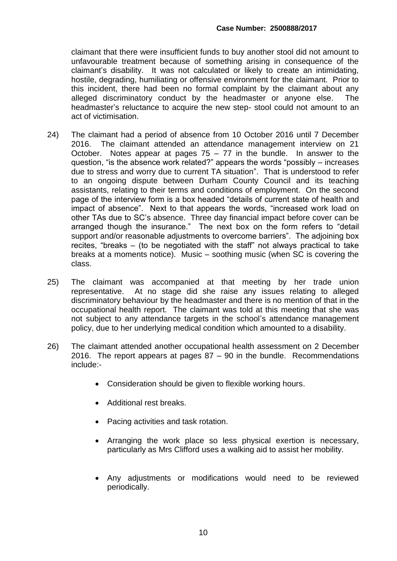claimant that there were insufficient funds to buy another stool did not amount to unfavourable treatment because of something arising in consequence of the claimant's disability. It was not calculated or likely to create an intimidating, hostile, degrading, humiliating or offensive environment for the claimant. Prior to this incident, there had been no formal complaint by the claimant about any alleged discriminatory conduct by the headmaster or anyone else. The headmaster's reluctance to acquire the new step- stool could not amount to an act of victimisation.

- 24) The claimant had a period of absence from 10 October 2016 until 7 December 2016. The claimant attended an attendance management interview on 21 October. Notes appear at pages  $75 - 77$  in the bundle. In answer to the question, "is the absence work related?" appears the words "possibly – increases due to stress and worry due to current TA situation". That is understood to refer to an ongoing dispute between Durham County Council and its teaching assistants, relating to their terms and conditions of employment. On the second page of the interview form is a box headed "details of current state of health and impact of absence". Next to that appears the words, "increased work load on other TAs due to SC's absence. Three day financial impact before cover can be arranged though the insurance." The next box on the form refers to "detail support and/or reasonable adjustments to overcome barriers". The adjoining box recites, "breaks – (to be negotiated with the staff" not always practical to take breaks at a moments notice). Music – soothing music (when SC is covering the class.
- 25) The claimant was accompanied at that meeting by her trade union representative. At no stage did she raise any issues relating to alleged discriminatory behaviour by the headmaster and there is no mention of that in the occupational health report. The claimant was told at this meeting that she was not subject to any attendance targets in the school's attendance management policy, due to her underlying medical condition which amounted to a disability.
- 26) The claimant attended another occupational health assessment on 2 December 2016. The report appears at pages 87 – 90 in the bundle. Recommendations include:-
	- Consideration should be given to flexible working hours.
	- Additional rest breaks.
	- Pacing activities and task rotation.
	- Arranging the work place so less physical exertion is necessary, particularly as Mrs Clifford uses a walking aid to assist her mobility.
	- Any adjustments or modifications would need to be reviewed periodically.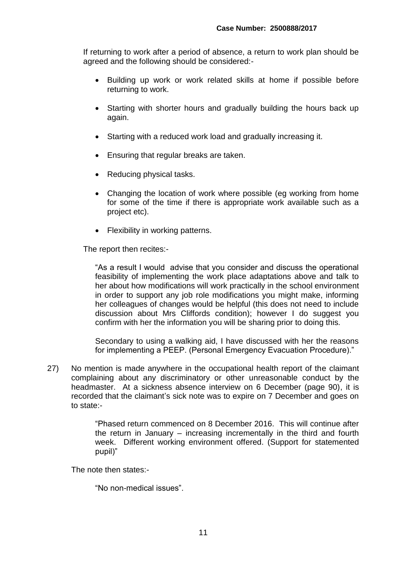If returning to work after a period of absence, a return to work plan should be agreed and the following should be considered:-

- Building up work or work related skills at home if possible before returning to work.
- Starting with shorter hours and gradually building the hours back up again.
- Starting with a reduced work load and gradually increasing it.
- Ensuring that regular breaks are taken.
- Reducing physical tasks.
- Changing the location of work where possible (eg working from home for some of the time if there is appropriate work available such as a project etc).
- Flexibility in working patterns.

The report then recites:-

"As a result I would advise that you consider and discuss the operational feasibility of implementing the work place adaptations above and talk to her about how modifications will work practically in the school environment in order to support any job role modifications you might make, informing her colleagues of changes would be helpful (this does not need to include discussion about Mrs Cliffords condition); however I do suggest you confirm with her the information you will be sharing prior to doing this.

Secondary to using a walking aid, I have discussed with her the reasons for implementing a PEEP. (Personal Emergency Evacuation Procedure)."

27) No mention is made anywhere in the occupational health report of the claimant complaining about any discriminatory or other unreasonable conduct by the headmaster. At a sickness absence interview on 6 December (page 90), it is recorded that the claimant's sick note was to expire on 7 December and goes on to state:-

> "Phased return commenced on 8 December 2016. This will continue after the return in January – increasing incrementally in the third and fourth week. Different working environment offered. (Support for statemented pupil)"

The note then states:-

"No non-medical issues".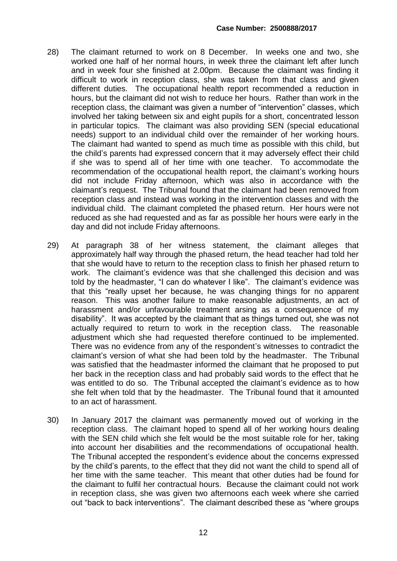- 28) The claimant returned to work on 8 December. In weeks one and two, she worked one half of her normal hours, in week three the claimant left after lunch and in week four she finished at 2.00pm. Because the claimant was finding it difficult to work in reception class, she was taken from that class and given different duties. The occupational health report recommended a reduction in hours, but the claimant did not wish to reduce her hours. Rather than work in the reception class, the claimant was given a number of "intervention" classes, which involved her taking between six and eight pupils for a short, concentrated lesson in particular topics. The claimant was also providing SEN (special educational needs) support to an individual child over the remainder of her working hours. The claimant had wanted to spend as much time as possible with this child, but the child's parents had expressed concern that it may adversely effect their child if she was to spend all of her time with one teacher. To accommodate the recommendation of the occupational health report, the claimant's working hours did not include Friday afternoon, which was also in accordance with the claimant's request. The Tribunal found that the claimant had been removed from reception class and instead was working in the intervention classes and with the individual child. The claimant completed the phased return. Her hours were not reduced as she had requested and as far as possible her hours were early in the day and did not include Friday afternoons.
- 29) At paragraph 38 of her witness statement, the claimant alleges that approximately half way through the phased return, the head teacher had told her that she would have to return to the reception class to finish her phased return to work. The claimant's evidence was that she challenged this decision and was told by the headmaster, "I can do whatever I like". The claimant's evidence was that this "really upset her because, he was changing things for no apparent reason. This was another failure to make reasonable adjustments, an act of harassment and/or unfavourable treatment arsing as a consequence of my disability". It was accepted by the claimant that as things turned out, she was not actually required to return to work in the reception class. The reasonable adjustment which she had requested therefore continued to be implemented. There was no evidence from any of the respondent's witnesses to contradict the claimant's version of what she had been told by the headmaster. The Tribunal was satisfied that the headmaster informed the claimant that he proposed to put her back in the reception class and had probably said words to the effect that he was entitled to do so. The Tribunal accepted the claimant's evidence as to how she felt when told that by the headmaster. The Tribunal found that it amounted to an act of harassment.
- 30) In January 2017 the claimant was permanently moved out of working in the reception class. The claimant hoped to spend all of her working hours dealing with the SEN child which she felt would be the most suitable role for her, taking into account her disabilities and the recommendations of occupational health. The Tribunal accepted the respondent's evidence about the concerns expressed by the child's parents, to the effect that they did not want the child to spend all of her time with the same teacher. This meant that other duties had be found for the claimant to fulfil her contractual hours. Because the claimant could not work in reception class, she was given two afternoons each week where she carried out "back to back interventions". The claimant described these as "where groups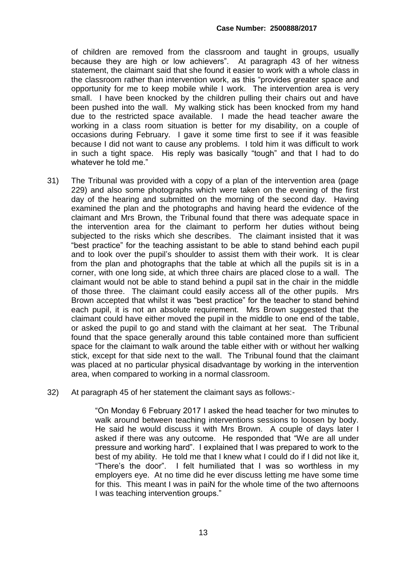#### **Case Number: 2500888/2017**

of children are removed from the classroom and taught in groups, usually because they are high or low achievers". At paragraph 43 of her witness statement, the claimant said that she found it easier to work with a whole class in the classroom rather than intervention work, as this "provides greater space and opportunity for me to keep mobile while I work. The intervention area is very small. I have been knocked by the children pulling their chairs out and have been pushed into the wall. My walking stick has been knocked from my hand due to the restricted space available. I made the head teacher aware the working in a class room situation is better for my disability, on a couple of occasions during February. I gave it some time first to see if it was feasible because I did not want to cause any problems. I told him it was difficult to work in such a tight space. His reply was basically "tough" and that I had to do whatever he told me."

- 31) The Tribunal was provided with a copy of a plan of the intervention area (page 229) and also some photographs which were taken on the evening of the first day of the hearing and submitted on the morning of the second day. Having examined the plan and the photographs and having heard the evidence of the claimant and Mrs Brown, the Tribunal found that there was adequate space in the intervention area for the claimant to perform her duties without being subjected to the risks which she describes. The claimant insisted that it was "best practice" for the teaching assistant to be able to stand behind each pupil and to look over the pupil's shoulder to assist them with their work. It is clear from the plan and photographs that the table at which all the pupils sit is in a corner, with one long side, at which three chairs are placed close to a wall. The claimant would not be able to stand behind a pupil sat in the chair in the middle of those three. The claimant could easily access all of the other pupils. Mrs Brown accepted that whilst it was "best practice" for the teacher to stand behind each pupil, it is not an absolute requirement. Mrs Brown suggested that the claimant could have either moved the pupil in the middle to one end of the table, or asked the pupil to go and stand with the claimant at her seat. The Tribunal found that the space generally around this table contained more than sufficient space for the claimant to walk around the table either with or without her walking stick, except for that side next to the wall. The Tribunal found that the claimant was placed at no particular physical disadvantage by working in the intervention area, when compared to working in a normal classroom.
- 32) At paragraph 45 of her statement the claimant says as follows:-

"On Monday 6 February 2017 I asked the head teacher for two minutes to walk around between teaching interventions sessions to loosen by body. He said he would discuss it with Mrs Brown. A couple of days later I asked if there was any outcome. He responded that "We are all under pressure and working hard". I explained that I was prepared to work to the best of my ability. He told me that I knew what I could do if I did not like it, "There's the door". I felt humiliated that I was so worthless in my employers eye. At no time did he ever discuss letting me have some time for this. This meant I was in paiN for the whole time of the two afternoons I was teaching intervention groups."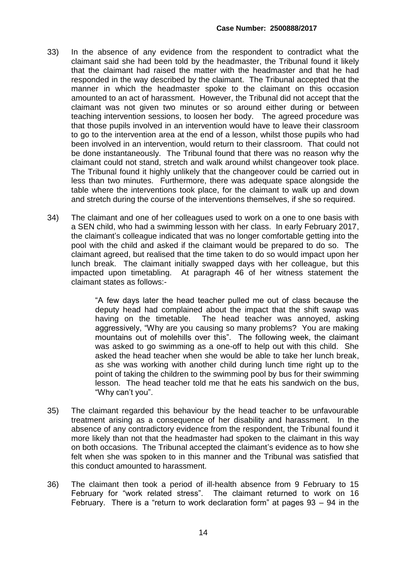- 33) In the absence of any evidence from the respondent to contradict what the claimant said she had been told by the headmaster, the Tribunal found it likely that the claimant had raised the matter with the headmaster and that he had responded in the way described by the claimant. The Tribunal accepted that the manner in which the headmaster spoke to the claimant on this occasion amounted to an act of harassment. However, the Tribunal did not accept that the claimant was not given two minutes or so around either during or between teaching intervention sessions, to loosen her body. The agreed procedure was that those pupils involved in an intervention would have to leave their classroom to go to the intervention area at the end of a lesson, whilst those pupils who had been involved in an intervention, would return to their classroom. That could not be done instantaneously. The Tribunal found that there was no reason why the claimant could not stand, stretch and walk around whilst changeover took place. The Tribunal found it highly unlikely that the changeover could be carried out in less than two minutes. Furthermore, there was adequate space alongside the table where the interventions took place, for the claimant to walk up and down and stretch during the course of the interventions themselves, if she so required.
- 34) The claimant and one of her colleagues used to work on a one to one basis with a SEN child, who had a swimming lesson with her class. In early February 2017, the claimant's colleague indicated that was no longer comfortable getting into the pool with the child and asked if the claimant would be prepared to do so. The claimant agreed, but realised that the time taken to do so would impact upon her lunch break. The claimant initially swapped days with her colleague, but this impacted upon timetabling. At paragraph 46 of her witness statement the claimant states as follows:-

"A few days later the head teacher pulled me out of class because the deputy head had complained about the impact that the shift swap was having on the timetable. The head teacher was annoyed, asking aggressively, "Why are you causing so many problems? You are making mountains out of molehills over this". The following week, the claimant was asked to go swimming as a one-off to help out with this child. She asked the head teacher when she would be able to take her lunch break, as she was working with another child during lunch time right up to the point of taking the children to the swimming pool by bus for their swimming lesson. The head teacher told me that he eats his sandwich on the bus, "Why can't you".

- 35) The claimant regarded this behaviour by the head teacher to be unfavourable treatment arising as a consequence of her disability and harassment. In the absence of any contradictory evidence from the respondent, the Tribunal found it more likely than not that the headmaster had spoken to the claimant in this way on both occasions. The Tribunal accepted the claimant's evidence as to how she felt when she was spoken to in this manner and the Tribunal was satisfied that this conduct amounted to harassment.
- 36) The claimant then took a period of ill-health absence from 9 February to 15 February for "work related stress". The claimant returned to work on 16 February. There is a "return to work declaration form" at pages 93 – 94 in the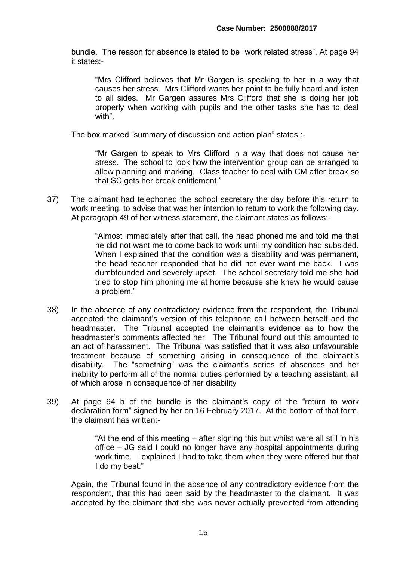bundle. The reason for absence is stated to be "work related stress". At page 94 it states:-

"Mrs Clifford believes that Mr Gargen is speaking to her in a way that causes her stress. Mrs Clifford wants her point to be fully heard and listen to all sides. Mr Gargen assures Mrs Clifford that she is doing her job properly when working with pupils and the other tasks she has to deal with".

The box marked "summary of discussion and action plan" states,:-

"Mr Gargen to speak to Mrs Clifford in a way that does not cause her stress. The school to look how the intervention group can be arranged to allow planning and marking. Class teacher to deal with CM after break so that SC gets her break entitlement."

37) The claimant had telephoned the school secretary the day before this return to work meeting, to advise that was her intention to return to work the following day. At paragraph 49 of her witness statement, the claimant states as follows:-

> "Almost immediately after that call, the head phoned me and told me that he did not want me to come back to work until my condition had subsided. When I explained that the condition was a disability and was permanent, the head teacher responded that he did not ever want me back. I was dumbfounded and severely upset. The school secretary told me she had tried to stop him phoning me at home because she knew he would cause a problem."

- 38) In the absence of any contradictory evidence from the respondent, the Tribunal accepted the claimant's version of this telephone call between herself and the headmaster. The Tribunal accepted the claimant's evidence as to how the headmaster's comments affected her. The Tribunal found out this amounted to an act of harassment. The Tribunal was satisfied that it was also unfavourable treatment because of something arising in consequence of the claimant's disability. The "something" was the claimant's series of absences and her inability to perform all of the normal duties performed by a teaching assistant, all of which arose in consequence of her disability
- 39) At page 94 b of the bundle is the claimant's copy of the "return to work declaration form" signed by her on 16 February 2017. At the bottom of that form, the claimant has written:-

"At the end of this meeting – after signing this but whilst were all still in his office – JG said I could no longer have any hospital appointments during work time. I explained I had to take them when they were offered but that I do my best."

Again, the Tribunal found in the absence of any contradictory evidence from the respondent, that this had been said by the headmaster to the claimant. It was accepted by the claimant that she was never actually prevented from attending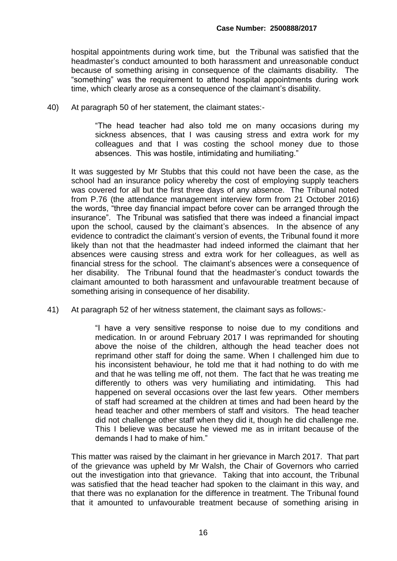hospital appointments during work time, but the Tribunal was satisfied that the headmaster's conduct amounted to both harassment and unreasonable conduct because of something arising in consequence of the claimants disability. The "something" was the requirement to attend hospital appointments during work time, which clearly arose as a consequence of the claimant's disability.

40) At paragraph 50 of her statement, the claimant states:-

"The head teacher had also told me on many occasions during my sickness absences, that I was causing stress and extra work for my colleagues and that I was costing the school money due to those absences. This was hostile, intimidating and humiliating."

It was suggested by Mr Stubbs that this could not have been the case, as the school had an insurance policy whereby the cost of employing supply teachers was covered for all but the first three days of any absence. The Tribunal noted from P.76 (the attendance management interview form from 21 October 2016) the words, "three day financial impact before cover can be arranged through the insurance". The Tribunal was satisfied that there was indeed a financial impact upon the school, caused by the claimant's absences. In the absence of any evidence to contradict the claimant's version of events, the Tribunal found it more likely than not that the headmaster had indeed informed the claimant that her absences were causing stress and extra work for her colleagues, as well as financial stress for the school. The claimant's absences were a consequence of her disability. The Tribunal found that the headmaster's conduct towards the claimant amounted to both harassment and unfavourable treatment because of something arising in consequence of her disability.

41) At paragraph 52 of her witness statement, the claimant says as follows:-

"I have a very sensitive response to noise due to my conditions and medication. In or around February 2017 I was reprimanded for shouting above the noise of the children, although the head teacher does not reprimand other staff for doing the same. When I challenged him due to his inconsistent behaviour, he told me that it had nothing to do with me and that he was telling me off, not them. The fact that he was treating me differently to others was very humiliating and intimidating. This had happened on several occasions over the last few years. Other members of staff had screamed at the children at times and had been heard by the head teacher and other members of staff and visitors. The head teacher did not challenge other staff when they did it, though he did challenge me. This I believe was because he viewed me as in irritant because of the demands I had to make of him."

This matter was raised by the claimant in her grievance in March 2017. That part of the grievance was upheld by Mr Walsh, the Chair of Governors who carried out the investigation into that grievance. Taking that into account, the Tribunal was satisfied that the head teacher had spoken to the claimant in this way, and that there was no explanation for the difference in treatment. The Tribunal found that it amounted to unfavourable treatment because of something arising in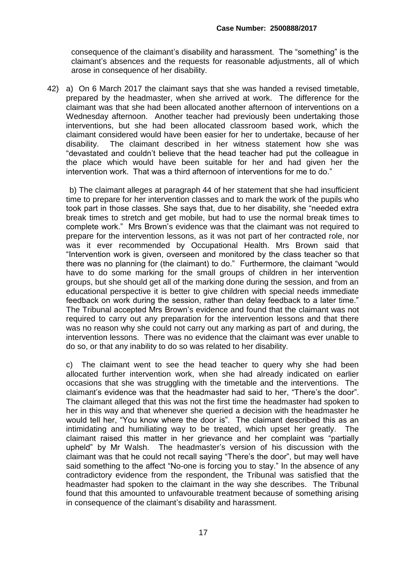consequence of the claimant's disability and harassment. The "something" is the claimant's absences and the requests for reasonable adjustments, all of which arose in consequence of her disability.

42) a) On 6 March 2017 the claimant says that she was handed a revised timetable, prepared by the headmaster, when she arrived at work. The difference for the claimant was that she had been allocated another afternoon of interventions on a Wednesday afternoon. Another teacher had previously been undertaking those interventions, but she had been allocated classroom based work, which the claimant considered would have been easier for her to undertake, because of her disability. The claimant described in her witness statement how she was "devastated and couldn't believe that the head teacher had put the colleague in the place which would have been suitable for her and had given her the intervention work. That was a third afternoon of interventions for me to do."

 b) The claimant alleges at paragraph 44 of her statement that she had insufficient time to prepare for her intervention classes and to mark the work of the pupils who took part in those classes. She says that, due to her disability, she "needed extra break times to stretch and get mobile, but had to use the normal break times to complete work." Mrs Brown's evidence was that the claimant was not required to prepare for the intervention lessons, as it was not part of her contracted role, nor was it ever recommended by Occupational Health. Mrs Brown said that "Intervention work is given, overseen and monitored by the class teacher so that there was no planning for (the claimant) to do." Furthermore, the claimant "would have to do some marking for the small groups of children in her intervention groups, but she should get all of the marking done during the session, and from an educational perspective it is better to give children with special needs immediate feedback on work during the session, rather than delay feedback to a later time." The Tribunal accepted Mrs Brown's evidence and found that the claimant was not required to carry out any preparation for the intervention lessons and that there was no reason why she could not carry out any marking as part of and during, the intervention lessons. There was no evidence that the claimant was ever unable to do so, or that any inability to do so was related to her disability.

c) The claimant went to see the head teacher to query why she had been allocated further intervention work, when she had already indicated on earlier occasions that she was struggling with the timetable and the interventions. The claimant's evidence was that the headmaster had said to her, "There's the door". The claimant alleged that this was not the first time the headmaster had spoken to her in this way and that whenever she queried a decision with the headmaster he would tell her, "You know where the door is". The claimant described this as an intimidating and humiliating way to be treated, which upset her greatly. The claimant raised this matter in her grievance and her complaint was "partially upheld" by Mr Walsh. The headmaster's version of his discussion with the claimant was that he could not recall saying "There's the door", but may well have said something to the affect "No-one is forcing you to stay." In the absence of any contradictory evidence from the respondent, the Tribunal was satisfied that the headmaster had spoken to the claimant in the way she describes. The Tribunal found that this amounted to unfavourable treatment because of something arising in consequence of the claimant's disability and harassment.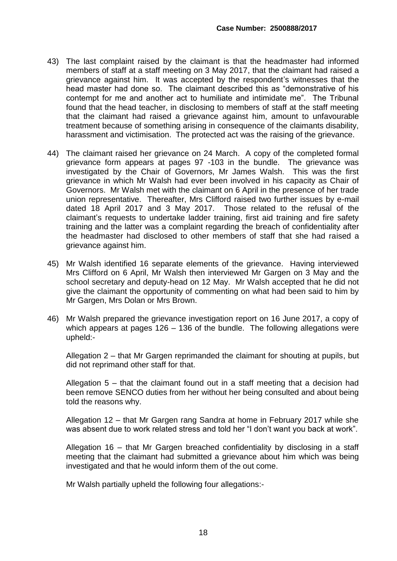- 43) The last complaint raised by the claimant is that the headmaster had informed members of staff at a staff meeting on 3 May 2017, that the claimant had raised a grievance against him. It was accepted by the respondent's witnesses that the head master had done so. The claimant described this as "demonstrative of his contempt for me and another act to humiliate and intimidate me". The Tribunal found that the head teacher, in disclosing to members of staff at the staff meeting that the claimant had raised a grievance against him, amount to unfavourable treatment because of something arising in consequence of the claimants disability, harassment and victimisation. The protected act was the raising of the grievance.
- 44) The claimant raised her grievance on 24 March. A copy of the completed formal grievance form appears at pages 97 -103 in the bundle. The grievance was investigated by the Chair of Governors, Mr James Walsh. This was the first grievance in which Mr Walsh had ever been involved in his capacity as Chair of Governors. Mr Walsh met with the claimant on 6 April in the presence of her trade union representative. Thereafter, Mrs Clifford raised two further issues by e-mail dated 18 April 2017 and 3 May 2017. Those related to the refusal of the claimant's requests to undertake ladder training, first aid training and fire safety training and the latter was a complaint regarding the breach of confidentiality after the headmaster had disclosed to other members of staff that she had raised a grievance against him.
- 45) Mr Walsh identified 16 separate elements of the grievance. Having interviewed Mrs Clifford on 6 April, Mr Walsh then interviewed Mr Gargen on 3 May and the school secretary and deputy-head on 12 May. Mr Walsh accepted that he did not give the claimant the opportunity of commenting on what had been said to him by Mr Gargen, Mrs Dolan or Mrs Brown.
- 46) Mr Walsh prepared the grievance investigation report on 16 June 2017, a copy of which appears at pages 126 – 136 of the bundle. The following allegations were upheld:-

Allegation 2 – that Mr Gargen reprimanded the claimant for shouting at pupils, but did not reprimand other staff for that.

Allegation 5 – that the claimant found out in a staff meeting that a decision had been remove SENCO duties from her without her being consulted and about being told the reasons why.

Allegation 12 – that Mr Gargen rang Sandra at home in February 2017 while she was absent due to work related stress and told her "I don't want you back at work".

Allegation 16 – that Mr Gargen breached confidentiality by disclosing in a staff meeting that the claimant had submitted a grievance about him which was being investigated and that he would inform them of the out come.

Mr Walsh partially upheld the following four allegations:-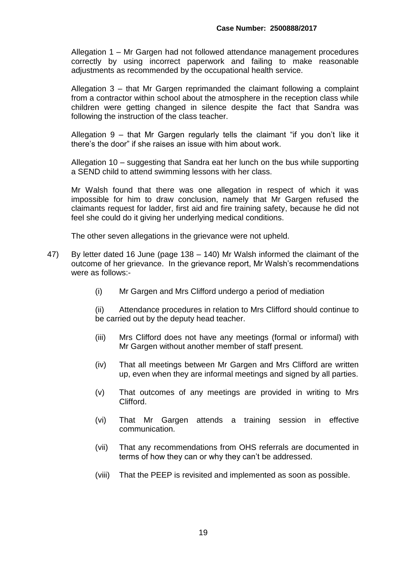Allegation 1 – Mr Gargen had not followed attendance management procedures correctly by using incorrect paperwork and failing to make reasonable adjustments as recommended by the occupational health service.

Allegation 3 – that Mr Gargen reprimanded the claimant following a complaint from a contractor within school about the atmosphere in the reception class while children were getting changed in silence despite the fact that Sandra was following the instruction of the class teacher.

Allegation 9 – that Mr Gargen regularly tells the claimant "if you don't like it there's the door" if she raises an issue with him about work.

Allegation 10 – suggesting that Sandra eat her lunch on the bus while supporting a SEND child to attend swimming lessons with her class.

Mr Walsh found that there was one allegation in respect of which it was impossible for him to draw conclusion, namely that Mr Gargen refused the claimants request for ladder, first aid and fire training safety, because he did not feel she could do it giving her underlying medical conditions.

The other seven allegations in the grievance were not upheld.

- 47) By letter dated 16 June (page 138 140) Mr Walsh informed the claimant of the outcome of her grievance. In the grievance report, Mr Walsh's recommendations were as follows:-
	- (i) Mr Gargen and Mrs Clifford undergo a period of mediation

(ii) Attendance procedures in relation to Mrs Clifford should continue to be carried out by the deputy head teacher.

- (iii) Mrs Clifford does not have any meetings (formal or informal) with Mr Gargen without another member of staff present.
- (iv) That all meetings between Mr Gargen and Mrs Clifford are written up, even when they are informal meetings and signed by all parties.
- (v) That outcomes of any meetings are provided in writing to Mrs Clifford.
- (vi) That Mr Gargen attends a training session in effective communication.
- (vii) That any recommendations from OHS referrals are documented in terms of how they can or why they can't be addressed.
- (viii) That the PEEP is revisited and implemented as soon as possible.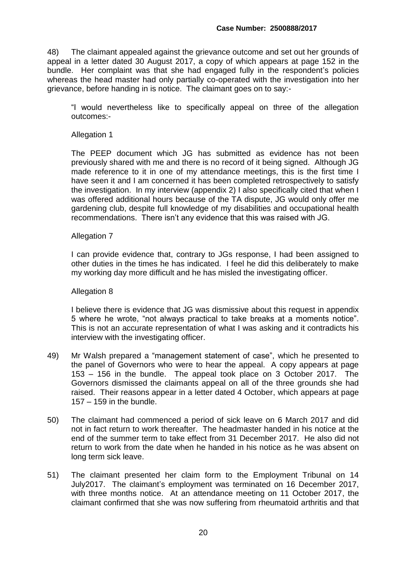48) The claimant appealed against the grievance outcome and set out her grounds of appeal in a letter dated 30 August 2017, a copy of which appears at page 152 in the bundle. Her complaint was that she had engaged fully in the respondent's policies whereas the head master had only partially co-operated with the investigation into her grievance, before handing in is notice. The claimant goes on to say:-

"I would nevertheless like to specifically appeal on three of the allegation outcomes:-

Allegation 1

The PEEP document which JG has submitted as evidence has not been previously shared with me and there is no record of it being signed. Although JG made reference to it in one of my attendance meetings, this is the first time I have seen it and I am concerned it has been completed retrospectively to satisfy the investigation. In my interview (appendix 2) I also specifically cited that when I was offered additional hours because of the TA dispute, JG would only offer me gardening club, despite full knowledge of my disabilities and occupational health recommendations. There isn't any evidence that this was raised with JG.

#### Allegation 7

I can provide evidence that, contrary to JGs response, I had been assigned to other duties in the times he has indicated. I feel he did this deliberately to make my working day more difficult and he has misled the investigating officer.

#### Allegation 8

I believe there is evidence that JG was dismissive about this request in appendix 5 where he wrote, "not always practical to take breaks at a moments notice". This is not an accurate representation of what I was asking and it contradicts his interview with the investigating officer.

- 49) Mr Walsh prepared a "management statement of case", which he presented to the panel of Governors who were to hear the appeal. A copy appears at page 153 – 156 in the bundle. The appeal took place on 3 October 2017. The Governors dismissed the claimants appeal on all of the three grounds she had raised. Their reasons appear in a letter dated 4 October, which appears at page 157 – 159 in the bundle.
- 50) The claimant had commenced a period of sick leave on 6 March 2017 and did not in fact return to work thereafter. The headmaster handed in his notice at the end of the summer term to take effect from 31 December 2017. He also did not return to work from the date when he handed in his notice as he was absent on long term sick leave.
- 51) The claimant presented her claim form to the Employment Tribunal on 14 July2017. The claimant's employment was terminated on 16 December 2017, with three months notice. At an attendance meeting on 11 October 2017, the claimant confirmed that she was now suffering from rheumatoid arthritis and that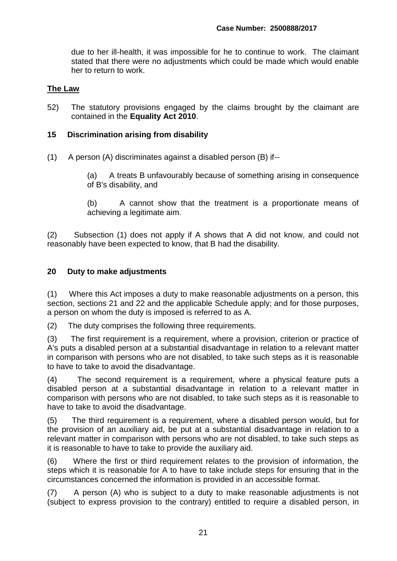due to her ill-health, it was impossible for he to continue to work. The claimant stated that there were no adjustments which could be made which would enable her to return to work.

#### **The Law**

52) The statutory provisions engaged by the claims brought by the claimant are contained in the **Equality Act 2010**.

#### **15 Discrimination arising from disability**

(1) A person (A) discriminates against a disabled person (B) if--

 (a) A treats B unfavourably because of something arising in consequence of B's disability, and

 (b) A cannot show that the treatment is a proportionate means of achieving a legitimate aim.

(2) Subsection (1) does not apply if A shows that A did not know, and could not reasonably have been expected to know, that B had the disability.

#### **20 Duty to make adjustments**

(1) Where this Act imposes a duty to make reasonable adjustments on a person, this section, sections 21 and 22 and the applicable Schedule apply; and for those purposes, a person on whom the duty is imposed is referred to as A.

(2) The duty comprises the following three requirements.

(3) The first requirement is a requirement, where a provision, criterion or practice of A's puts a disabled person at a substantial disadvantage in relation to a relevant matter in comparison with persons who are not disabled, to take such steps as it is reasonable to have to take to avoid the disadvantage.

(4) The second requirement is a requirement, where a physical feature puts a disabled person at a substantial disadvantage in relation to a relevant matter in comparison with persons who are not disabled, to take such steps as it is reasonable to have to take to avoid the disadvantage.

(5) The third requirement is a requirement, where a disabled person would, but for the provision of an auxiliary aid, be put at a substantial disadvantage in relation to a relevant matter in comparison with persons who are not disabled, to take such steps as it is reasonable to have to take to provide the auxiliary aid.

(6) Where the first or third requirement relates to the provision of information, the steps which it is reasonable for A to have to take include steps for ensuring that in the circumstances concerned the information is provided in an accessible format.

(7) A person (A) who is subject to a duty to make reasonable adjustments is not (subject to express provision to the contrary) entitled to require a disabled person, in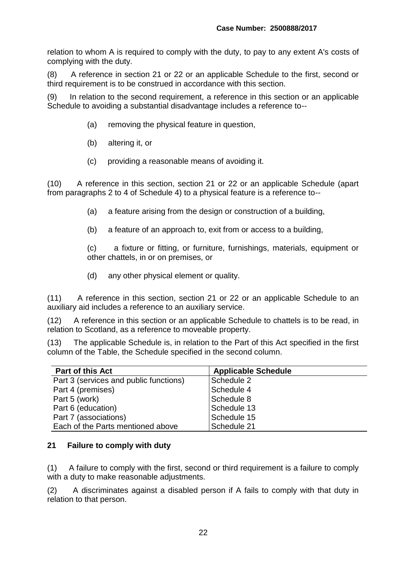relation to whom A is required to comply with the duty, to pay to any extent A's costs of complying with the duty.

(8) A reference in section 21 or 22 or an applicable Schedule to the first, second or third requirement is to be construed in accordance with this section.

(9) In relation to the second requirement, a reference in this section or an applicable Schedule to avoiding a substantial disadvantage includes a reference to--

- (a) removing the physical feature in question,
- (b) altering it, or
- (c) providing a reasonable means of avoiding it.

(10) A reference in this section, section 21 or 22 or an applicable Schedule (apart from paragraphs 2 to 4 of Schedule 4) to a physical feature is a reference to--

- (a) a feature arising from the design or construction of a building,
- (b) a feature of an approach to, exit from or access to a building,

 (c) a fixture or fitting, or furniture, furnishings, materials, equipment or other chattels, in or on premises, or

(d) any other physical element or quality.

(11) A reference in this section, section 21 or 22 or an applicable Schedule to an auxiliary aid includes a reference to an auxiliary service.

(12) A reference in this section or an applicable Schedule to chattels is to be read, in relation to Scotland, as a reference to moveable property.

(13) The applicable Schedule is, in relation to the Part of this Act specified in the first column of the Table, the Schedule specified in the second column.

| <b>Part of this Act</b>                | <b>Applicable Schedule</b> |
|----------------------------------------|----------------------------|
| Part 3 (services and public functions) | Schedule 2                 |
| Part 4 (premises)                      | Schedule 4                 |
| Part 5 (work)                          | Schedule 8                 |
| Part 6 (education)                     | Schedule 13                |
| Part 7 (associations)                  | Schedule 15                |
| Each of the Parts mentioned above      | Schedule 21                |

#### **21 Failure to comply with duty**

(1) A failure to comply with the first, second or third requirement is a failure to comply with a duty to make reasonable adjustments.

(2) A discriminates against a disabled person if A fails to comply with that duty in relation to that person.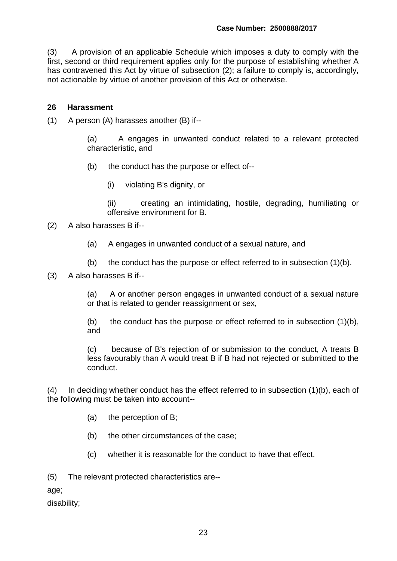(3) A provision of an applicable Schedule which imposes a duty to comply with the first, second or third requirement applies only for the purpose of establishing whether A has contravened this Act by virtue of subsection (2); a failure to comply is, accordingly, not actionable by virtue of another provision of this Act or otherwise.

#### **26 Harassment**

(1) A person (A) harasses another (B) if--

 (a) A engages in unwanted conduct related to a relevant protected characteristic, and

- (b) the conduct has the purpose or effect of--
	- (i) violating B's dignity, or

 (ii) creating an intimidating, hostile, degrading, humiliating or offensive environment for B.

- (2) A also harasses B if--
	- (a) A engages in unwanted conduct of a sexual nature, and
	- (b) the conduct has the purpose or effect referred to in subsection  $(1)(b)$ .
- (3) A also harasses B if--

 (a) A or another person engages in unwanted conduct of a sexual nature or that is related to gender reassignment or sex,

(b) the conduct has the purpose or effect referred to in subsection  $(1)(b)$ , and

 (c) because of B's rejection of or submission to the conduct, A treats B less favourably than A would treat B if B had not rejected or submitted to the conduct.

(4) In deciding whether conduct has the effect referred to in subsection (1)(b), each of the following must be taken into account--

- (a) the perception of B;
- (b) the other circumstances of the case;
- (c) whether it is reasonable for the conduct to have that effect.

(5) The relevant protected characteristics are--

age;

disability;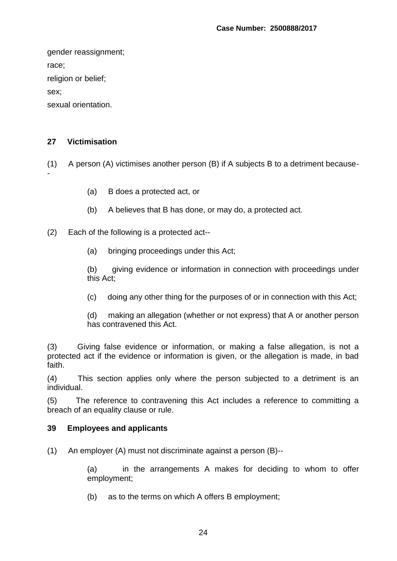gender reassignment; race; religion or belief; sex;

sexual orientation.

### **27 Victimisation**

(1) A person (A) victimises another person (B) if A subjects B to a detriment because- -

- (a) B does a protected act, or
- (b) A believes that B has done, or may do, a protected act.

(2) Each of the following is a protected act--

(a) bringing proceedings under this Act;

 (b) giving evidence or information in connection with proceedings under this Act;

(c) doing any other thing for the purposes of or in connection with this Act;

 (d) making an allegation (whether or not express) that A or another person has contravened this Act.

(3) Giving false evidence or information, or making a false allegation, is not a protected act if the evidence or information is given, or the allegation is made, in bad faith.

(4) This section applies only where the person subjected to a detriment is an individual.

(5) The reference to contravening this Act includes a reference to committing a breach of an equality clause or rule.

#### **39 Employees and applicants**

(1) An employer (A) must not discriminate against a person (B)--

 (a) in the arrangements A makes for deciding to whom to offer employment;

(b) as to the terms on which A offers B employment;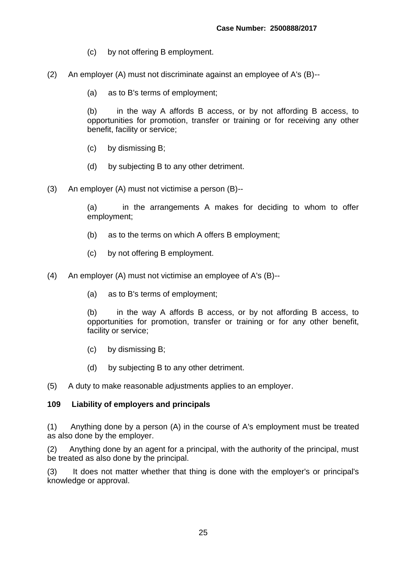- (c) by not offering B employment.
- (2) An employer (A) must not discriminate against an employee of A's (B)--
	- (a) as to B's terms of employment;

 (b) in the way A affords B access, or by not affording B access, to opportunities for promotion, transfer or training or for receiving any other benefit, facility or service;

- (c) by dismissing B;
- (d) by subjecting B to any other detriment.
- (3) An employer (A) must not victimise a person (B)--

 (a) in the arrangements A makes for deciding to whom to offer employment;

- (b) as to the terms on which A offers B employment;
- (c) by not offering B employment.
- (4) An employer (A) must not victimise an employee of A's (B)--
	- (a) as to B's terms of employment;

 (b) in the way A affords B access, or by not affording B access, to opportunities for promotion, transfer or training or for any other benefit, facility or service;

- (c) by dismissing B;
- (d) by subjecting B to any other detriment.
- (5) A duty to make reasonable adjustments applies to an employer.

#### **109 Liability of employers and principals**

(1) Anything done by a person (A) in the course of A's employment must be treated as also done by the employer.

(2) Anything done by an agent for a principal, with the authority of the principal, must be treated as also done by the principal.

(3) It does not matter whether that thing is done with the employer's or principal's knowledge or approval.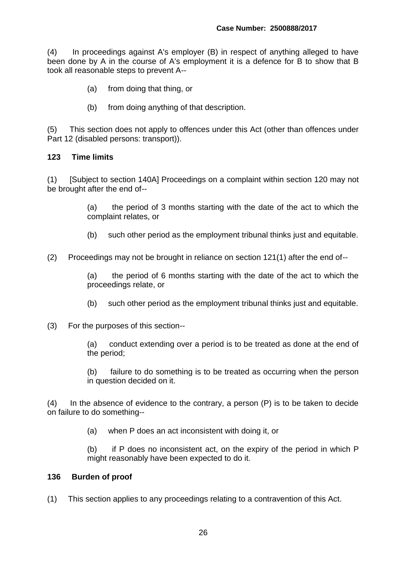(4) In proceedings against A's employer (B) in respect of anything alleged to have been done by A in the course of A's employment it is a defence for B to show that B took all reasonable steps to prevent A--

- (a) from doing that thing, or
- (b) from doing anything of that description.

(5) This section does not apply to offences under this Act (other than offences under Part 12 (disabled persons: transport)).

#### **123 Time limits**

(1) [Subject to section 140A] Proceedings on a complaint within section 120 may not be brought after the end of--

> (a) the period of 3 months starting with the date of the act to which the complaint relates, or

- (b) such other period as the employment tribunal thinks just and equitable.
- (2) Proceedings may not be brought in reliance on section 121(1) after the end of--

 (a) the period of 6 months starting with the date of the act to which the proceedings relate, or

- (b) such other period as the employment tribunal thinks just and equitable.
- (3) For the purposes of this section--

 (a) conduct extending over a period is to be treated as done at the end of the period;

 (b) failure to do something is to be treated as occurring when the person in question decided on it.

(4) In the absence of evidence to the contrary, a person (P) is to be taken to decide on failure to do something--

(a) when P does an act inconsistent with doing it, or

 (b) if P does no inconsistent act, on the expiry of the period in which P might reasonably have been expected to do it.

#### **136 Burden of proof**

(1) This section applies to any proceedings relating to a contravention of this Act.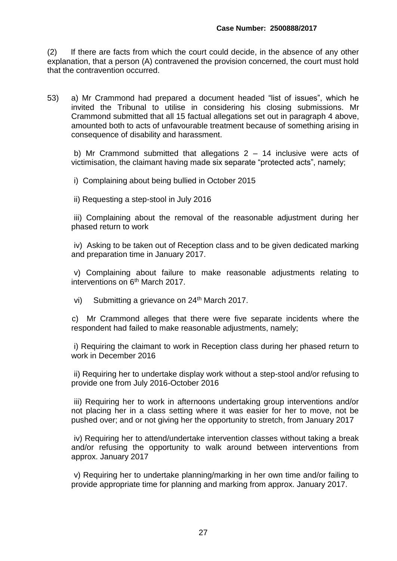(2) If there are facts from which the court could decide, in the absence of any other explanation, that a person (A) contravened the provision concerned, the court must hold that the contravention occurred.

53) a) Mr Crammond had prepared a document headed "list of issues", which he invited the Tribunal to utilise in considering his closing submissions. Mr Crammond submitted that all 15 factual allegations set out in paragraph 4 above, amounted both to acts of unfavourable treatment because of something arising in consequence of disability and harassment.

b) Mr Crammond submitted that allegations  $2 - 14$  inclusive were acts of victimisation, the claimant having made six separate "protected acts", namely;

i) Complaining about being bullied in October 2015

ii) Requesting a step-stool in July 2016

 iii) Complaining about the removal of the reasonable adjustment during her phased return to work

 iv) Asking to be taken out of Reception class and to be given dedicated marking and preparation time in January 2017.

 v) Complaining about failure to make reasonable adjustments relating to interventions on 6<sup>th</sup> March 2017.

vi) Submitting a grievance on 24<sup>th</sup> March 2017.

 c) Mr Crammond alleges that there were five separate incidents where the respondent had failed to make reasonable adjustments, namely;

 i) Requiring the claimant to work in Reception class during her phased return to work in December 2016

 ii) Requiring her to undertake display work without a step-stool and/or refusing to provide one from July 2016-October 2016

 iii) Requiring her to work in afternoons undertaking group interventions and/or not placing her in a class setting where it was easier for her to move, not be pushed over; and or not giving her the opportunity to stretch, from January 2017

 iv) Requiring her to attend/undertake intervention classes without taking a break and/or refusing the opportunity to walk around between interventions from approx. January 2017

 v) Requiring her to undertake planning/marking in her own time and/or failing to provide appropriate time for planning and marking from approx. January 2017.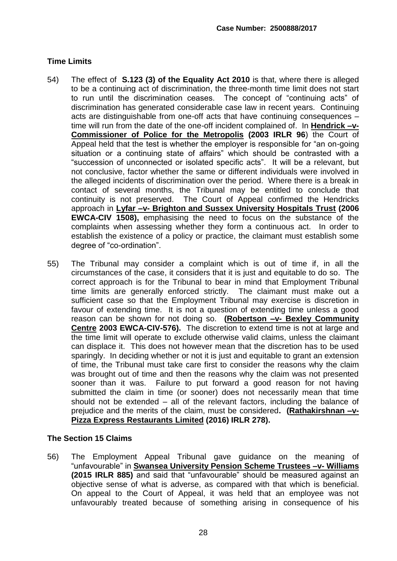### **Time Limits**

- 54) The effect of **S.123 (3) of the Equality Act 2010** is that, where there is alleged to be a continuing act of discrimination, the three-month time limit does not start to run until the discrimination ceases. The concept of "continuing acts" of discrimination has generated considerable case law in recent years. Continuing acts are distinguishable from one-off acts that have continuing consequences – time will run from the date of the one-off incident complained of. In **Hendrick –v-Commissioner of Police for the Metropolis (2003 IRLR 96**) the Court of Appeal held that the test is whether the employer is responsible for "an on-going situation or a continuing state of affairs" which should be contrasted with a "succession of unconnected or isolated specific acts". It will be a relevant, but not conclusive, factor whether the same or different individuals were involved in the alleged incidents of discrimination over the period. Where there is a break in contact of several months, the Tribunal may be entitled to conclude that continuity is not preserved. The Court of Appeal confirmed the Hendricks approach in **Lyfar –v- Brighton and Sussex University Hospitals Trust (2006 EWCA-CIV 1508),** emphasising the need to focus on the substance of the complaints when assessing whether they form a continuous act. In order to establish the existence of a policy or practice, the claimant must establish some degree of "co-ordination".
- 55) The Tribunal may consider a complaint which is out of time if, in all the circumstances of the case, it considers that it is just and equitable to do so. The correct approach is for the Tribunal to bear in mind that Employment Tribunal time limits are generally enforced strictly. The claimant must make out a sufficient case so that the Employment Tribunal may exercise is discretion in favour of extending time. It is not a question of extending time unless a good reason can be shown for not doing so. **(Robertson –v- Bexley Community Centre 2003 EWCA-CIV-576).** The discretion to extend time is not at large and the time limit will operate to exclude otherwise valid claims, unless the claimant can displace it. This does not however mean that the discretion has to be used sparingly. In deciding whether or not it is just and equitable to grant an extension of time, the Tribunal must take care first to consider the reasons why the claim was brought out of time and then the reasons why the claim was not presented sooner than it was. Failure to put forward a good reason for not having submitted the claim in time (or sooner) does not necessarily mean that time should not be extended – all of the relevant factors, including the balance of prejudice and the merits of the claim, must be considered**. (Rathakirshnan –v-Pizza Express Restaurants Limited (2016) IRLR 278).**

#### **The Section 15 Claims**

56) The Employment Appeal Tribunal gave guidance on the meaning of "unfavourable" in **Swansea University Pension Scheme Trustees –v- Williams (2015 IRLR 885)** and said that "unfavourable" should be measured against an objective sense of what is adverse, as compared with that which is beneficial. On appeal to the Court of Appeal, it was held that an employee was not unfavourably treated because of something arising in consequence of his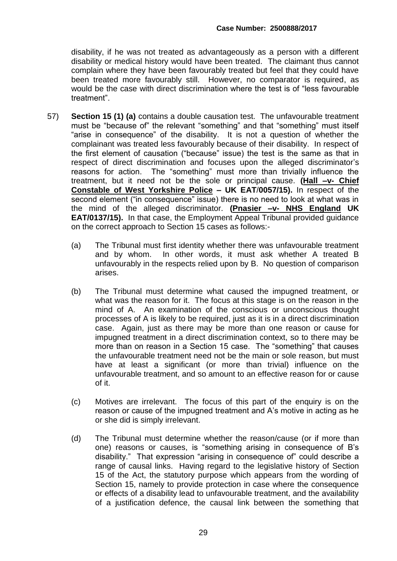disability, if he was not treated as advantageously as a person with a different disability or medical history would have been treated. The claimant thus cannot complain where they have been favourably treated but feel that they could have been treated more favourably still. However, no comparator is required, as would be the case with direct discrimination where the test is of "less favourable treatment".

- 57) **Section 15 (1) (a)** contains a double causation test. The unfavourable treatment must be "because of" the relevant "something" and that "something" must itself "arise in consequence" of the disability. It is not a question of whether the complainant was treated less favourably because of their disability. In respect of the first element of causation ("because" issue) the test is the same as that in respect of direct discrimination and focuses upon the alleged discriminator's reasons for action. The "something" must more than trivially influence the treatment, but it need not be the sole or principal cause. **(Hall –v- Chief Constable of West Yorkshire Police – UK EAT**/**0057/15).** In respect of the second element ("in consequence" issue) there is no need to look at what was in the mind of the alleged discriminator. **(Pnasier –v- NHS England UK EAT/0137/15).** In that case, the Employment Appeal Tribunal provided guidance on the correct approach to Section 15 cases as follows:-
	- (a) The Tribunal must first identity whether there was unfavourable treatment and by whom. In other words, it must ask whether A treated B unfavourably in the respects relied upon by B. No question of comparison arises.
	- (b) The Tribunal must determine what caused the impugned treatment, or what was the reason for it. The focus at this stage is on the reason in the mind of A. An examination of the conscious or unconscious thought processes of A is likely to be required, just as it is in a direct discrimination case. Again, just as there may be more than one reason or cause for impugned treatment in a direct discrimination context, so to there may be more than on reason in a Section 15 case. The "something" that causes the unfavourable treatment need not be the main or sole reason, but must have at least a significant (or more than trivial) influence on the unfavourable treatment, and so amount to an effective reason for or cause of it.
	- (c) Motives are irrelevant. The focus of this part of the enquiry is on the reason or cause of the impugned treatment and A's motive in acting as he or she did is simply irrelevant.
	- (d) The Tribunal must determine whether the reason/cause (or if more than one) reasons or causes, is "something arising in consequence of B's disability." That expression "arising in consequence of" could describe a range of causal links. Having regard to the legislative history of Section 15 of the Act, the statutory purpose which appears from the wording of Section 15, namely to provide protection in case where the consequence or effects of a disability lead to unfavourable treatment, and the availability of a justification defence, the causal link between the something that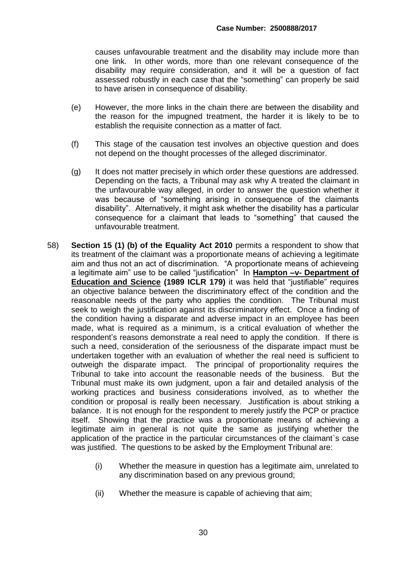causes unfavourable treatment and the disability may include more than one link. In other words, more than one relevant consequence of the disability may require consideration, and it will be a question of fact assessed robustly in each case that the "something" can properly be said to have arisen in consequence of disability.

- (e) However, the more links in the chain there are between the disability and the reason for the impugned treatment, the harder it is likely to be to establish the requisite connection as a matter of fact.
- (f) This stage of the causation test involves an objective question and does not depend on the thought processes of the alleged discriminator.
- (g) It does not matter precisely in which order these questions are addressed. Depending on the facts, a Tribunal may ask why A treated the claimant in the unfavourable way alleged, in order to answer the question whether it was because of "something arising in consequence of the claimants disability". Alternatively, it might ask whether the disability has a particular consequence for a claimant that leads to "something" that caused the unfavourable treatment.
- 58) **Section 15 (1) (b) of the Equality Act 2010** permits a respondent to show that its treatment of the claimant was a proportionate means of achieving a legitimate aim and thus not an act of discrimination. "A proportionate means of achieveing a legitimate aim" use to be called "justification" In **Hampton –v- Department of Education and Science (1989 ICLR 179)** it was held that "justifiable" requires an objective balance between the discriminatory effect of the condition and the reasonable needs of the party who applies the condition. The Tribunal must seek to weigh the justification against its discriminatory effect. Once a finding of the condition having a disparate and adverse impact in an employee has been made, what is required as a minimum, is a critical evaluation of whether the respondent's reasons demonstrate a real need to apply the condition. If there is such a need, consideration of the seriousness of the disparate impact must be undertaken together with an evaluation of whether the real need is sufficient to outweigh the disparate impact. The principal of proportionality requires the Tribunal to take into account the reasonable needs of the business. But the Tribunal must make its own judgment, upon a fair and detailed analysis of the working practices and business considerations involved, as to whether the condition or proposal is really been necessary. Justification is about striking a balance. It is not enough for the respondent to merely justify the PCP or practice itself. Showing that the practice was a proportionate means of achieving a legitimate aim in general is not quite the same as justifying whether the application of the practice in the particular circumstances of the claimant`s case was justified. The questions to be asked by the Employment Tribunal are:
	- (i) Whether the measure in question has a legitimate aim, unrelated to any discrimination based on any previous ground;
	- (ii) Whether the measure is capable of achieving that aim;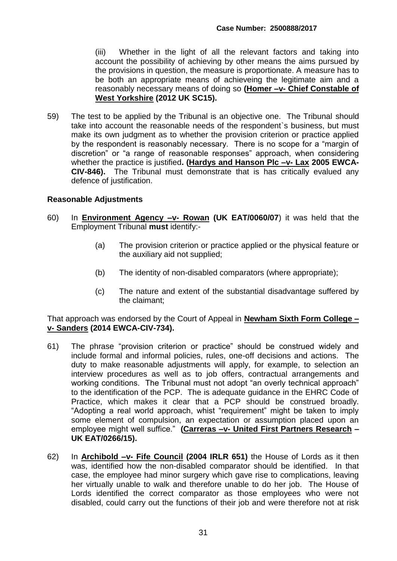(iii) Whether in the light of all the relevant factors and taking into account the possibility of achieving by other means the aims pursued by the provisions in question, the measure is proportionate. A measure has to be both an appropriate means of achieveing the legitimate aim and a reasonably necessary means of doing so **(Homer –v- Chief Constable of West Yorkshire (2012 UK SC15).**

59) The test to be applied by the Tribunal is an objective one. The Tribunal should take into account the reasonable needs of the respondent`s business, but must make its own judgment as to whether the provision criterion or practice applied by the respondent is reasonably necessary. There is no scope for a "margin of discretion" or "a range of reasonable responses" approach, when considering whether the practice is justified**. (Hardys and Hanson Plc –v- Lax 2005 EWCA-CIV-846).** The Tribunal must demonstrate that is has critically evalued any defence of justification.

#### **Reasonable Adjustments**

- 60) In **Environment Agency –v- Rowan (UK EAT/0060/07**) it was held that the Employment Tribunal **must** identify:-
	- (a) The provision criterion or practice applied or the physical feature or the auxiliary aid not supplied;
	- (b) The identity of non-disabled comparators (where appropriate);
	- (c) The nature and extent of the substantial disadvantage suffered by the claimant;

#### That approach was endorsed by the Court of Appeal in **Newham Sixth Form College – v- Sanders (2014 EWCA-CIV-734).**

- 61) The phrase "provision criterion or practice" should be construed widely and include formal and informal policies, rules, one-off decisions and actions. The duty to make reasonable adjustments will apply, for example, to selection an interview procedures as well as to job offers, contractual arrangements and working conditions. The Tribunal must not adopt "an overly technical approach" to the identification of the PCP. The is adequate guidance in the EHRC Code of Practice, which makes it clear that a PCP should be construed broadly. "Adopting a real world approach, whist "requirement" might be taken to imply some element of compulsion, an expectation or assumption placed upon an employee might well suffice." **(Carreras –v- United First Partners Research – UK EAT/0266/15).**
- 62) In **Archibold –v- Fife Council (2004 IRLR 651)** the House of Lords as it then was, identified how the non-disabled comparator should be identified. In that case, the employee had minor surgery which gave rise to complications, leaving her virtually unable to walk and therefore unable to do her job. The House of Lords identified the correct comparator as those employees who were not disabled, could carry out the functions of their job and were therefore not at risk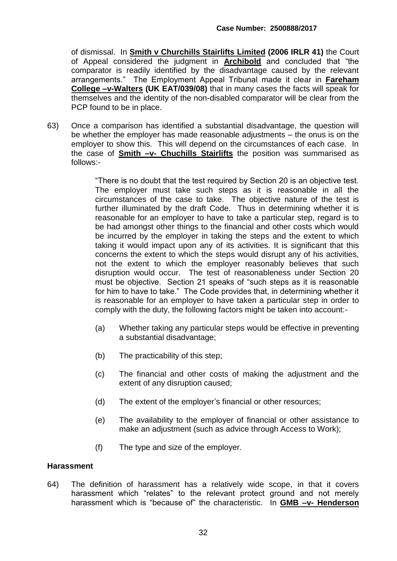of dismissal. In **Smith v Churchills Stairlifts Limited (2006 IRLR 41)** the Court of Appeal considered the judgment in **Archibold** and concluded that "the comparator is readily identified by the disadvantage caused by the relevant arrangements." The Employment Appeal Tribunal made it clear in **Fareham College –v-Walters (UK EAT/039/08)** that in many cases the facts will speak for themselves and the identity of the non-disabled comparator will be clear from the PCP found to be in place.

63) Once a comparison has identified a substantial disadvantage, the question will be whether the employer has made reasonable adjustments – the onus is on the employer to show this. This will depend on the circumstances of each case. In the case of **Smith –v- Chuchills Stairlifts** the position was summarised as follows:-

> "There is no doubt that the test required by Section 20 is an objective test. The employer must take such steps as it is reasonable in all the circumstances of the case to take. The objective nature of the test is further illuminated by the draft Code. Thus in determining whether it is reasonable for an employer to have to take a particular step, regard is to be had amongst other things to the financial and other costs which would be incurred by the employer in taking the steps and the extent to which taking it would impact upon any of its activities. It is significant that this concerns the extent to which the steps would disrupt any of his activities, not the extent to which the employer reasonably believes that such disruption would occur. The test of reasonableness under Section 20 must be objective. Section 21 speaks of "such steps as it is reasonable for him to have to take." The Code provides that, in determining whether it is reasonable for an employer to have taken a particular step in order to comply with the duty, the following factors might be taken into account:-

- (a) Whether taking any particular steps would be effective in preventing a substantial disadvantage;
- (b) The practicability of this step;
- (c) The financial and other costs of making the adjustment and the extent of any disruption caused;
- (d) The extent of the employer's financial or other resources;
- (e) The availability to the employer of financial or other assistance to make an adjustment (such as advice through Access to Work);
- (f) The type and size of the employer.

#### **Harassment**

64) The definition of harassment has a relatively wide scope, in that it covers harassment which "relates" to the relevant protect ground and not merely harassment which is "because of" the characteristic. In **GMB –v- Henderson**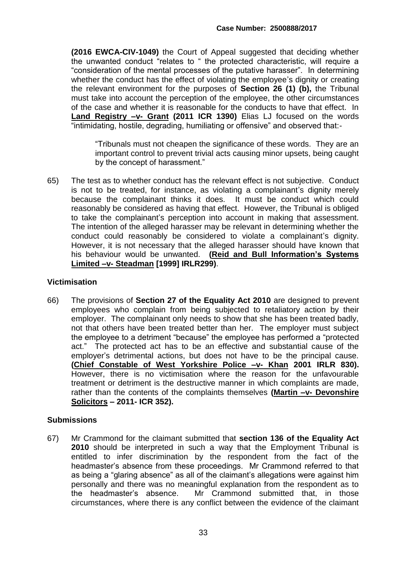**(2016 EWCA-CIV-1049)** the Court of Appeal suggested that deciding whether the unwanted conduct "relates to " the protected characteristic, will require a "consideration of the mental processes of the putative harasser". In determining whether the conduct has the effect of violating the employee's dignity or creating the relevant environment for the purposes of **Section 26 (1) (b),** the Tribunal must take into account the perception of the employee, the other circumstances of the case and whether it is reasonable for the conducts to have that effect. In **Land Registry –v- Grant (2011 ICR 1390)** Elias LJ focused on the words "intimidating, hostile, degrading, humiliating or offensive" and observed that:-

"Tribunals must not cheapen the significance of these words. They are an important control to prevent trivial acts causing minor upsets, being caught by the concept of harassment."

65) The test as to whether conduct has the relevant effect is not subjective. Conduct is not to be treated, for instance, as violating a complainant's dignity merely because the complainant thinks it does. It must be conduct which could reasonably be considered as having that effect. However, the Tribunal is obliged to take the complainant's perception into account in making that assessment. The intention of the alleged harasser may be relevant in determining whether the conduct could reasonably be considered to violate a complainant's dignity. However, it is not necessary that the alleged harasser should have known that his behaviour would be unwanted. **(Reid and Bull Information's Systems Limited –v- Steadman [1999] IRLR299)**.

#### **Victimisation**

66) The provisions of **Section 27 of the Equality Act 2010** are designed to prevent employees who complain from being subjected to retaliatory action by their employer. The complainant only needs to show that she has been treated badly, not that others have been treated better than her. The employer must subject the employee to a detriment "because" the employee has performed a "protected act." The protected act has to be an effective and substantial cause of the employer's detrimental actions, but does not have to be the principal cause. **(Chief Constable of West Yorkshire Police –v- Khan 2001 IRLR 830).** However, there is no victimisation where the reason for the unfavourable treatment or detriment is the destructive manner in which complaints are made, rather than the contents of the complaints themselves **(Martin –v- Devonshire Solicitors – 2011- ICR 352).**

#### **Submissions**

67) Mr Crammond for the claimant submitted that **section 136 of the Equality Act 2010** should be interpreted in such a way that the Employment Tribunal is entitled to infer discrimination by the respondent from the fact of the headmaster's absence from these proceedings. Mr Crammond referred to that as being a "glaring absence" as all of the claimant's allegations were against him personally and there was no meaningful explanation from the respondent as to the headmaster's absence. Mr Crammond submitted that, in those circumstances, where there is any conflict between the evidence of the claimant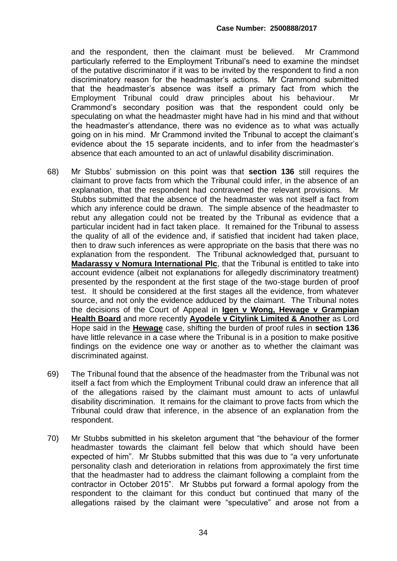and the respondent, then the claimant must be believed. Mr Crammond particularly referred to the Employment Tribunal's need to examine the mindset of the putative discriminator if it was to be invited by the respondent to find a non discriminatory reason for the headmaster's actions. Mr Crammond submitted that the headmaster's absence was itself a primary fact from which the Employment Tribunal could draw principles about his behaviour. Mr Crammond's secondary position was that the respondent could only be speculating on what the headmaster might have had in his mind and that without the headmaster's attendance, there was no evidence as to what was actually going on in his mind. Mr Crammond invited the Tribunal to accept the claimant's evidence about the 15 separate incidents, and to infer from the headmaster's absence that each amounted to an act of unlawful disability discrimination.

- 68) Mr Stubbs' submission on this point was that **section 136** still requires the claimant to prove facts from which the Tribunal could infer, in the absence of an explanation, that the respondent had contravened the relevant provisions. Mr Stubbs submitted that the absence of the headmaster was not itself a fact from which any inference could be drawn. The simple absence of the headmaster to rebut any allegation could not be treated by the Tribunal as evidence that a particular incident had in fact taken place. It remained for the Tribunal to assess the quality of all of the evidence and, if satisfied that incident had taken place, then to draw such inferences as were appropriate on the basis that there was no explanation from the respondent. The Tribunal acknowledged that, pursuant to **Madarassy v Nomura International Plc**, that the Tribunal is entitled to take into account evidence (albeit not explanations for allegedly discriminatory treatment) presented by the respondent at the first stage of the two-stage burden of proof test. It should be considered at the first stages all the evidence, from whatever source, and not only the evidence adduced by the claimant. The Tribunal notes the decisions of the Court of Appeal in **Igen v Wong, Hewage v Grampian Health Board** and more recently **Ayodele v Citylink Limited & Another** as Lord Hope said in the **Hewage** case, shifting the burden of proof rules in **section 136** have little relevance in a case where the Tribunal is in a position to make positive findings on the evidence one way or another as to whether the claimant was discriminated against.
- 69) The Tribunal found that the absence of the headmaster from the Tribunal was not itself a fact from which the Employment Tribunal could draw an inference that all of the allegations raised by the claimant must amount to acts of unlawful disability discrimination. It remains for the claimant to prove facts from which the Tribunal could draw that inference, in the absence of an explanation from the respondent.
- 70) Mr Stubbs submitted in his skeleton argument that "the behaviour of the former headmaster towards the claimant fell below that which should have been expected of him". Mr Stubbs submitted that this was due to "a very unfortunate personality clash and deterioration in relations from approximately the first time that the headmaster had to address the claimant following a complaint from the contractor in October 2015". Mr Stubbs put forward a formal apology from the respondent to the claimant for this conduct but continued that many of the allegations raised by the claimant were "speculative" and arose not from a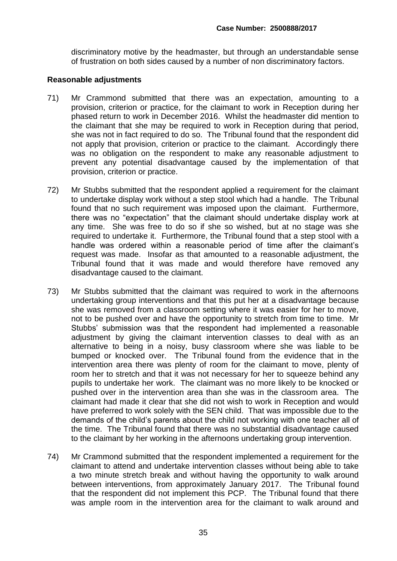discriminatory motive by the headmaster, but through an understandable sense of frustration on both sides caused by a number of non discriminatory factors.

#### **Reasonable adjustments**

- 71) Mr Crammond submitted that there was an expectation, amounting to a provision, criterion or practice, for the claimant to work in Reception during her phased return to work in December 2016. Whilst the headmaster did mention to the claimant that she may be required to work in Reception during that period, she was not in fact required to do so. The Tribunal found that the respondent did not apply that provision, criterion or practice to the claimant. Accordingly there was no obligation on the respondent to make any reasonable adjustment to prevent any potential disadvantage caused by the implementation of that provision, criterion or practice.
- 72) Mr Stubbs submitted that the respondent applied a requirement for the claimant to undertake display work without a step stool which had a handle. The Tribunal found that no such requirement was imposed upon the claimant. Furthermore, there was no "expectation" that the claimant should undertake display work at any time. She was free to do so if she so wished, but at no stage was she required to undertake it. Furthermore, the Tribunal found that a step stool with a handle was ordered within a reasonable period of time after the claimant's request was made. Insofar as that amounted to a reasonable adjustment, the Tribunal found that it was made and would therefore have removed any disadvantage caused to the claimant.
- 73) Mr Stubbs submitted that the claimant was required to work in the afternoons undertaking group interventions and that this put her at a disadvantage because she was removed from a classroom setting where it was easier for her to move, not to be pushed over and have the opportunity to stretch from time to time. Mr Stubbs' submission was that the respondent had implemented a reasonable adjustment by giving the claimant intervention classes to deal with as an alternative to being in a noisy, busy classroom where she was liable to be bumped or knocked over. The Tribunal found from the evidence that in the intervention area there was plenty of room for the claimant to move, plenty of room her to stretch and that it was not necessary for her to squeeze behind any pupils to undertake her work. The claimant was no more likely to be knocked or pushed over in the intervention area than she was in the classroom area. The claimant had made it clear that she did not wish to work in Reception and would have preferred to work solely with the SEN child. That was impossible due to the demands of the child's parents about the child not working with one teacher all of the time. The Tribunal found that there was no substantial disadvantage caused to the claimant by her working in the afternoons undertaking group intervention.
- 74) Mr Crammond submitted that the respondent implemented a requirement for the claimant to attend and undertake intervention classes without being able to take a two minute stretch break and without having the opportunity to walk around between interventions, from approximately January 2017. The Tribunal found that the respondent did not implement this PCP. The Tribunal found that there was ample room in the intervention area for the claimant to walk around and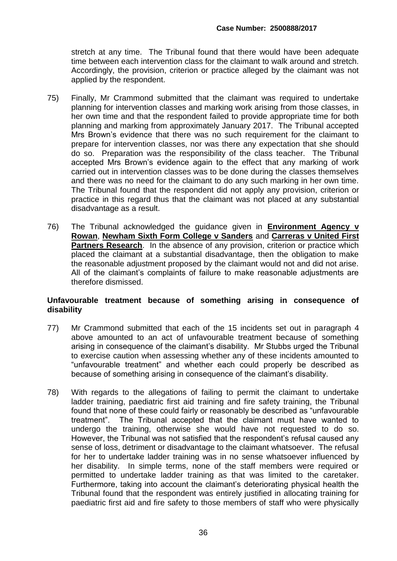stretch at any time. The Tribunal found that there would have been adequate time between each intervention class for the claimant to walk around and stretch. Accordingly, the provision, criterion or practice alleged by the claimant was not applied by the respondent.

- 75) Finally, Mr Crammond submitted that the claimant was required to undertake planning for intervention classes and marking work arising from those classes, in her own time and that the respondent failed to provide appropriate time for both planning and marking from approximately January 2017. The Tribunal accepted Mrs Brown's evidence that there was no such requirement for the claimant to prepare for intervention classes, nor was there any expectation that she should do so. Preparation was the responsibility of the class teacher. The Tribunal accepted Mrs Brown's evidence again to the effect that any marking of work carried out in intervention classes was to be done during the classes themselves and there was no need for the claimant to do any such marking in her own time. The Tribunal found that the respondent did not apply any provision, criterion or practice in this regard thus that the claimant was not placed at any substantial disadvantage as a result.
- 76) The Tribunal acknowledged the guidance given in **Environment Agency v Rowan**, **Newham Sixth Form College v Sanders** and **Carreras v United First Partners Research.** In the absence of any provision, criterion or practice which placed the claimant at a substantial disadvantage, then the obligation to make the reasonable adjustment proposed by the claimant would not and did not arise. All of the claimant's complaints of failure to make reasonable adjustments are therefore dismissed.

#### **Unfavourable treatment because of something arising in consequence of disability**

- 77) Mr Crammond submitted that each of the 15 incidents set out in paragraph 4 above amounted to an act of unfavourable treatment because of something arising in consequence of the claimant's disability. Mr Stubbs urged the Tribunal to exercise caution when assessing whether any of these incidents amounted to "unfavourable treatment" and whether each could properly be described as because of something arising in consequence of the claimant's disability.
- 78) With regards to the allegations of failing to permit the claimant to undertake ladder training, paediatric first aid training and fire safety training, the Tribunal found that none of these could fairly or reasonably be described as "unfavourable treatment". The Tribunal accepted that the claimant must have wanted to undergo the training, otherwise she would have not requested to do so. However, the Tribunal was not satisfied that the respondent's refusal caused any sense of loss, detriment or disadvantage to the claimant whatsoever. The refusal for her to undertake ladder training was in no sense whatsoever influenced by her disability. In simple terms, none of the staff members were required or permitted to undertake ladder training as that was limited to the caretaker. Furthermore, taking into account the claimant's deteriorating physical health the Tribunal found that the respondent was entirely justified in allocating training for paediatric first aid and fire safety to those members of staff who were physically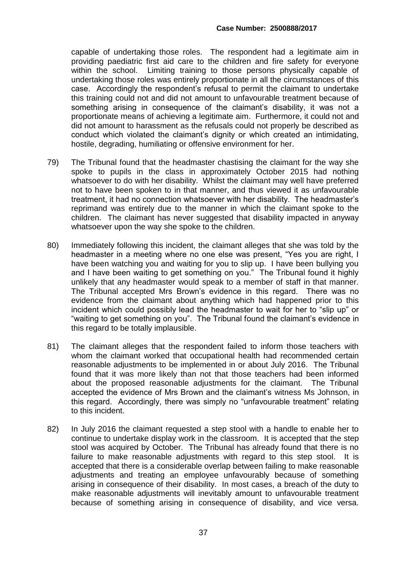capable of undertaking those roles. The respondent had a legitimate aim in providing paediatric first aid care to the children and fire safety for everyone within the school. Limiting training to those persons physically capable of undertaking those roles was entirely proportionate in all the circumstances of this case. Accordingly the respondent's refusal to permit the claimant to undertake this training could not and did not amount to unfavourable treatment because of something arising in consequence of the claimant's disability, it was not a proportionate means of achieving a legitimate aim. Furthermore, it could not and did not amount to harassment as the refusals could not properly be described as conduct which violated the claimant's dignity or which created an intimidating, hostile, degrading, humiliating or offensive environment for her.

- 79) The Tribunal found that the headmaster chastising the claimant for the way she spoke to pupils in the class in approximately October 2015 had nothing whatsoever to do with her disability. Whilst the claimant may well have preferred not to have been spoken to in that manner, and thus viewed it as unfavourable treatment, it had no connection whatsoever with her disability. The headmaster's reprimand was entirely due to the manner in which the claimant spoke to the children. The claimant has never suggested that disability impacted in anyway whatsoever upon the way she spoke to the children.
- 80) Immediately following this incident, the claimant alleges that she was told by the headmaster in a meeting where no one else was present, "Yes you are right, I have been watching you and waiting for you to slip up. I have been bullying you and I have been waiting to get something on you." The Tribunal found it highly unlikely that any headmaster would speak to a member of staff in that manner. The Tribunal accepted Mrs Brown's evidence in this regard. There was no evidence from the claimant about anything which had happened prior to this incident which could possibly lead the headmaster to wait for her to "slip up" or "waiting to get something on you". The Tribunal found the claimant's evidence in this regard to be totally implausible.
- 81) The claimant alleges that the respondent failed to inform those teachers with whom the claimant worked that occupational health had recommended certain reasonable adjustments to be implemented in or about July 2016. The Tribunal found that it was more likely than not that those teachers had been informed about the proposed reasonable adjustments for the claimant. The Tribunal accepted the evidence of Mrs Brown and the claimant's witness Ms Johnson, in this regard. Accordingly, there was simply no "unfavourable treatment" relating to this incident.
- 82) In July 2016 the claimant requested a step stool with a handle to enable her to continue to undertake display work in the classroom. It is accepted that the step stool was acquired by October. The Tribunal has already found that there is no failure to make reasonable adjustments with regard to this step stool. It is accepted that there is a considerable overlap between failing to make reasonable adjustments and treating an employee unfavourably because of something arising in consequence of their disability. In most cases, a breach of the duty to make reasonable adjustments will inevitably amount to unfavourable treatment because of something arising in consequence of disability, and vice versa.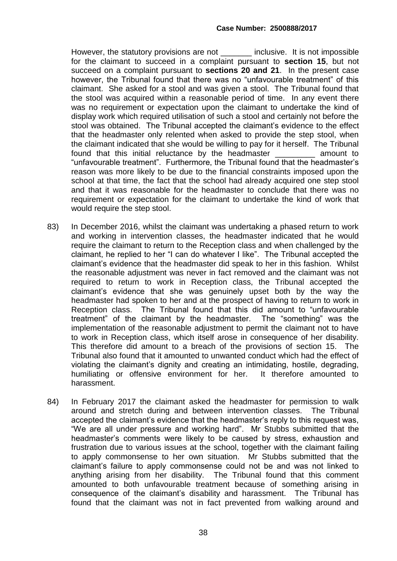However, the statutory provisions are not \_\_\_\_\_\_\_ inclusive. It is not impossible for the claimant to succeed in a complaint pursuant to **section 15**, but not succeed on a complaint pursuant to **sections 20 and 21**. In the present case however, the Tribunal found that there was no "unfavourable treatment" of this claimant. She asked for a stool and was given a stool. The Tribunal found that the stool was acquired within a reasonable period of time. In any event there was no requirement or expectation upon the claimant to undertake the kind of display work which required utilisation of such a stool and certainly not before the stool was obtained. The Tribunal accepted the claimant's evidence to the effect that the headmaster only relented when asked to provide the step stool, when the claimant indicated that she would be willing to pay for it herself. The Tribunal found that this initial reluctance by the headmaster \_\_\_\_\_\_\_\_\_ amount to "unfavourable treatment". Furthermore, the Tribunal found that the headmaster's reason was more likely to be due to the financial constraints imposed upon the school at that time, the fact that the school had already acquired one step stool and that it was reasonable for the headmaster to conclude that there was no requirement or expectation for the claimant to undertake the kind of work that would require the step stool.

- 83) In December 2016, whilst the claimant was undertaking a phased return to work and working in intervention classes, the headmaster indicated that he would require the claimant to return to the Reception class and when challenged by the claimant, he replied to her "I can do whatever I like". The Tribunal accepted the claimant's evidence that the headmaster did speak to her in this fashion. Whilst the reasonable adjustment was never in fact removed and the claimant was not required to return to work in Reception class, the Tribunal accepted the claimant's evidence that she was genuinely upset both by the way the headmaster had spoken to her and at the prospect of having to return to work in Reception class. The Tribunal found that this did amount to "unfavourable treatment" of the claimant by the headmaster. The "something" was the implementation of the reasonable adjustment to permit the claimant not to have to work in Reception class, which itself arose in consequence of her disability. This therefore did amount to a breach of the provisions of section 15. The Tribunal also found that it amounted to unwanted conduct which had the effect of violating the claimant's dignity and creating an intimidating, hostile, degrading, humiliating or offensive environment for her. It therefore amounted to harassment.
- 84) In February 2017 the claimant asked the headmaster for permission to walk around and stretch during and between intervention classes. The Tribunal accepted the claimant's evidence that the headmaster's reply to this request was, "We are all under pressure and working hard". Mr Stubbs submitted that the headmaster's comments were likely to be caused by stress, exhaustion and frustration due to various issues at the school, together with the claimant failing to apply commonsense to her own situation. Mr Stubbs submitted that the claimant's failure to apply commonsense could not be and was not linked to anything arising from her disability. The Tribunal found that this comment amounted to both unfavourable treatment because of something arising in consequence of the claimant's disability and harassment. The Tribunal has found that the claimant was not in fact prevented from walking around and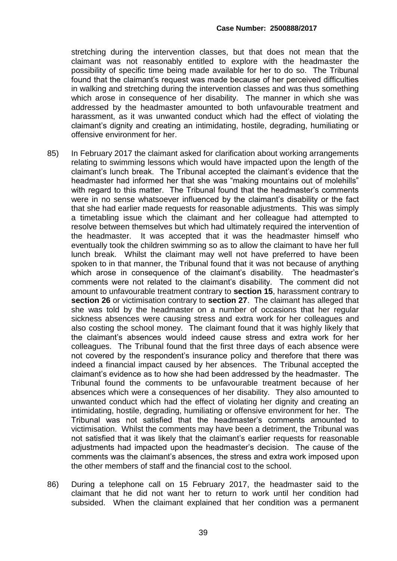stretching during the intervention classes, but that does not mean that the claimant was not reasonably entitled to explore with the headmaster the possibility of specific time being made available for her to do so. The Tribunal found that the claimant's request was made because of her perceived difficulties in walking and stretching during the intervention classes and was thus something which arose in consequence of her disability. The manner in which she was addressed by the headmaster amounted to both unfavourable treatment and harassment, as it was unwanted conduct which had the effect of violating the claimant's dignity and creating an intimidating, hostile, degrading, humiliating or offensive environment for her.

- 85) In February 2017 the claimant asked for clarification about working arrangements relating to swimming lessons which would have impacted upon the length of the claimant's lunch break. The Tribunal accepted the claimant's evidence that the headmaster had informed her that she was "making mountains out of molehills" with regard to this matter. The Tribunal found that the headmaster's comments were in no sense whatsoever influenced by the claimant's disability or the fact that she had earlier made requests for reasonable adjustments. This was simply a timetabling issue which the claimant and her colleague had attempted to resolve between themselves but which had ultimately required the intervention of the headmaster. It was accepted that it was the headmaster himself who eventually took the children swimming so as to allow the claimant to have her full lunch break. Whilst the claimant may well not have preferred to have been spoken to in that manner, the Tribunal found that it was not because of anything which arose in consequence of the claimant's disability. The headmaster's comments were not related to the claimant's disability. The comment did not amount to unfavourable treatment contrary to **section 15**, harassment contrary to **section 26** or victimisation contrary to **section 27**. The claimant has alleged that she was told by the headmaster on a number of occasions that her regular sickness absences were causing stress and extra work for her colleagues and also costing the school money. The claimant found that it was highly likely that the claimant's absences would indeed cause stress and extra work for her colleagues. The Tribunal found that the first three days of each absence were not covered by the respondent's insurance policy and therefore that there was indeed a financial impact caused by her absences. The Tribunal accepted the claimant's evidence as to how she had been addressed by the headmaster. The Tribunal found the comments to be unfavourable treatment because of her absences which were a consequences of her disability. They also amounted to unwanted conduct which had the effect of violating her dignity and creating an intimidating, hostile, degrading, humiliating or offensive environment for her. The Tribunal was not satisfied that the headmaster's comments amounted to victimisation. Whilst the comments may have been a detriment, the Tribunal was not satisfied that it was likely that the claimant's earlier requests for reasonable adjustments had impacted upon the headmaster's decision. The cause of the comments was the claimant's absences, the stress and extra work imposed upon the other members of staff and the financial cost to the school.
- 86) During a telephone call on 15 February 2017, the headmaster said to the claimant that he did not want her to return to work until her condition had subsided. When the claimant explained that her condition was a permanent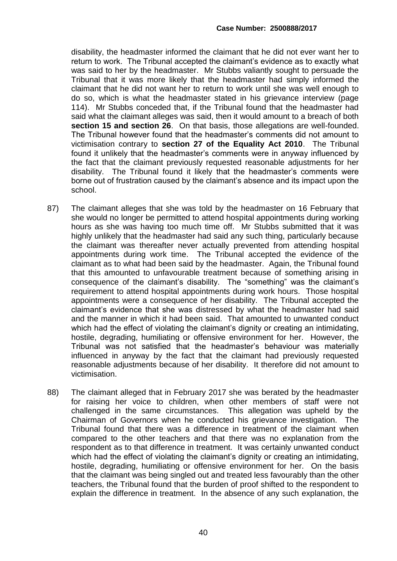disability, the headmaster informed the claimant that he did not ever want her to return to work. The Tribunal accepted the claimant's evidence as to exactly what was said to her by the headmaster. Mr Stubbs valiantly sought to persuade the Tribunal that it was more likely that the headmaster had simply informed the claimant that he did not want her to return to work until she was well enough to do so, which is what the headmaster stated in his grievance interview (page 114). Mr Stubbs conceded that, if the Tribunal found that the headmaster had said what the claimant alleges was said, then it would amount to a breach of both **section 15 and section 26**. On that basis, those allegations are well-founded. The Tribunal however found that the headmaster's comments did not amount to victimisation contrary to **section 27 of the Equality Act 2010**. The Tribunal found it unlikely that the headmaster's comments were in anyway influenced by the fact that the claimant previously requested reasonable adjustments for her disability. The Tribunal found it likely that the headmaster's comments were borne out of frustration caused by the claimant's absence and its impact upon the school.

- 87) The claimant alleges that she was told by the headmaster on 16 February that she would no longer be permitted to attend hospital appointments during working hours as she was having too much time off. Mr Stubbs submitted that it was highly unlikely that the headmaster had said any such thing, particularly because the claimant was thereafter never actually prevented from attending hospital appointments during work time. The Tribunal accepted the evidence of the claimant as to what had been said by the headmaster. Again, the Tribunal found that this amounted to unfavourable treatment because of something arising in consequence of the claimant's disability. The "something" was the claimant's requirement to attend hospital appointments during work hours. Those hospital appointments were a consequence of her disability. The Tribunal accepted the claimant's evidence that she was distressed by what the headmaster had said and the manner in which it had been said. That amounted to unwanted conduct which had the effect of violating the claimant's dignity or creating an intimidating, hostile, degrading, humiliating or offensive environment for her. However, the Tribunal was not satisfied that the headmaster's behaviour was materially influenced in anyway by the fact that the claimant had previously requested reasonable adjustments because of her disability. It therefore did not amount to victimisation.
- 88) The claimant alleged that in February 2017 she was berated by the headmaster for raising her voice to children, when other members of staff were not challenged in the same circumstances. This allegation was upheld by the Chairman of Governors when he conducted his grievance investigation. The Tribunal found that there was a difference in treatment of the claimant when compared to the other teachers and that there was no explanation from the respondent as to that difference in treatment. It was certainly unwanted conduct which had the effect of violating the claimant's dignity or creating an intimidating, hostile, degrading, humiliating or offensive environment for her. On the basis that the claimant was being singled out and treated less favourably than the other teachers, the Tribunal found that the burden of proof shifted to the respondent to explain the difference in treatment. In the absence of any such explanation, the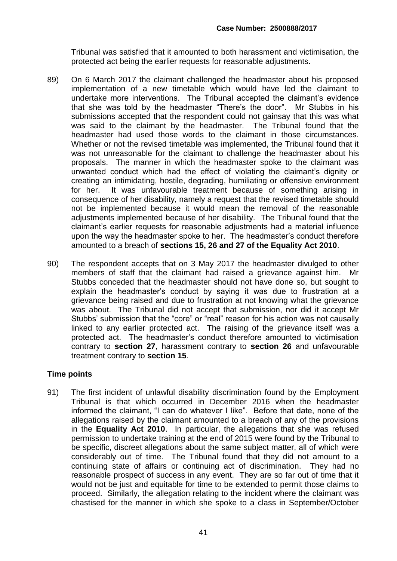Tribunal was satisfied that it amounted to both harassment and victimisation, the protected act being the earlier requests for reasonable adjustments.

- 89) On 6 March 2017 the claimant challenged the headmaster about his proposed implementation of a new timetable which would have led the claimant to undertake more interventions. The Tribunal accepted the claimant's evidence that she was told by the headmaster "There's the door". Mr Stubbs in his submissions accepted that the respondent could not gainsay that this was what was said to the claimant by the headmaster. The Tribunal found that the headmaster had used those words to the claimant in those circumstances. Whether or not the revised timetable was implemented, the Tribunal found that it was not unreasonable for the claimant to challenge the headmaster about his proposals. The manner in which the headmaster spoke to the claimant was unwanted conduct which had the effect of violating the claimant's dignity or creating an intimidating, hostile, degrading, humiliating or offensive environment for her. It was unfavourable treatment because of something arising in consequence of her disability, namely a request that the revised timetable should not be implemented because it would mean the removal of the reasonable adjustments implemented because of her disability. The Tribunal found that the claimant's earlier requests for reasonable adjustments had a material influence upon the way the headmaster spoke to her. The headmaster's conduct therefore amounted to a breach of **sections 15, 26 and 27 of the Equality Act 2010**.
- 90) The respondent accepts that on 3 May 2017 the headmaster divulged to other members of staff that the claimant had raised a grievance against him. Mr Stubbs conceded that the headmaster should not have done so, but sought to explain the headmaster's conduct by saying it was due to frustration at a grievance being raised and due to frustration at not knowing what the grievance was about. The Tribunal did not accept that submission, nor did it accept Mr Stubbs' submission that the "core" or "real" reason for his action was not causally linked to any earlier protected act. The raising of the grievance itself was a protected act. The headmaster's conduct therefore amounted to victimisation contrary to **section 27**, harassment contrary to **section 26** and unfavourable treatment contrary to **section 15**.

#### **Time points**

91) The first incident of unlawful disability discrimination found by the Employment Tribunal is that which occurred in December 2016 when the headmaster informed the claimant, "I can do whatever I like". Before that date, none of the allegations raised by the claimant amounted to a breach of any of the provisions in the **Equality Act 2010**. In particular, the allegations that she was refused permission to undertake training at the end of 2015 were found by the Tribunal to be specific, discreet allegations about the same subject matter, all of which were considerably out of time. The Tribunal found that they did not amount to a continuing state of affairs or continuing act of discrimination. They had no reasonable prospect of success in any event. They are so far out of time that it would not be just and equitable for time to be extended to permit those claims to proceed. Similarly, the allegation relating to the incident where the claimant was chastised for the manner in which she spoke to a class in September/October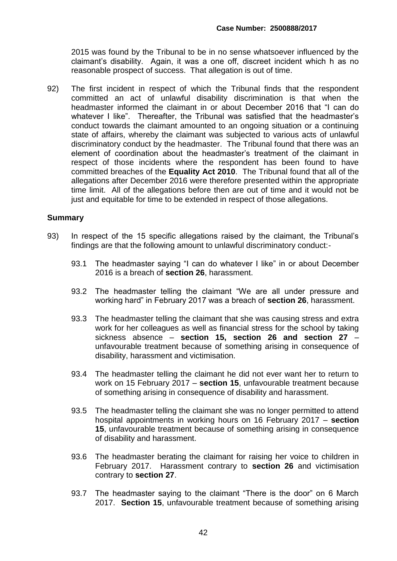2015 was found by the Tribunal to be in no sense whatsoever influenced by the claimant's disability. Again, it was a one off, discreet incident which h as no reasonable prospect of success. That allegation is out of time.

92) The first incident in respect of which the Tribunal finds that the respondent committed an act of unlawful disability discrimination is that when the headmaster informed the claimant in or about December 2016 that "I can do whatever I like". Thereafter, the Tribunal was satisfied that the headmaster's conduct towards the claimant amounted to an ongoing situation or a continuing state of affairs, whereby the claimant was subjected to various acts of unlawful discriminatory conduct by the headmaster. The Tribunal found that there was an element of coordination about the headmaster's treatment of the claimant in respect of those incidents where the respondent has been found to have committed breaches of the **Equality Act 2010**. The Tribunal found that all of the allegations after December 2016 were therefore presented within the appropriate time limit. All of the allegations before then are out of time and it would not be just and equitable for time to be extended in respect of those allegations.

#### **Summary**

- 93) In respect of the 15 specific allegations raised by the claimant, the Tribunal's findings are that the following amount to unlawful discriminatory conduct:-
	- 93.1 The headmaster saying "I can do whatever I like" in or about December 2016 is a breach of **section 26**, harassment.
	- 93.2 The headmaster telling the claimant "We are all under pressure and working hard" in February 2017 was a breach of **section 26**, harassment.
	- 93.3 The headmaster telling the claimant that she was causing stress and extra work for her colleagues as well as financial stress for the school by taking sickness absence – **section 15, section 26 and section 27** – unfavourable treatment because of something arising in consequence of disability, harassment and victimisation.
	- 93.4 The headmaster telling the claimant he did not ever want her to return to work on 15 February 2017 – **section 15**, unfavourable treatment because of something arising in consequence of disability and harassment.
	- 93.5 The headmaster telling the claimant she was no longer permitted to attend hospital appointments in working hours on 16 February 2017 – **section 15**, unfavourable treatment because of something arising in consequence of disability and harassment.
	- 93.6 The headmaster berating the claimant for raising her voice to children in February 2017. Harassment contrary to **section 26** and victimisation contrary to **section 27**.
	- 93.7 The headmaster saying to the claimant "There is the door" on 6 March 2017. **Section 15**, unfavourable treatment because of something arising